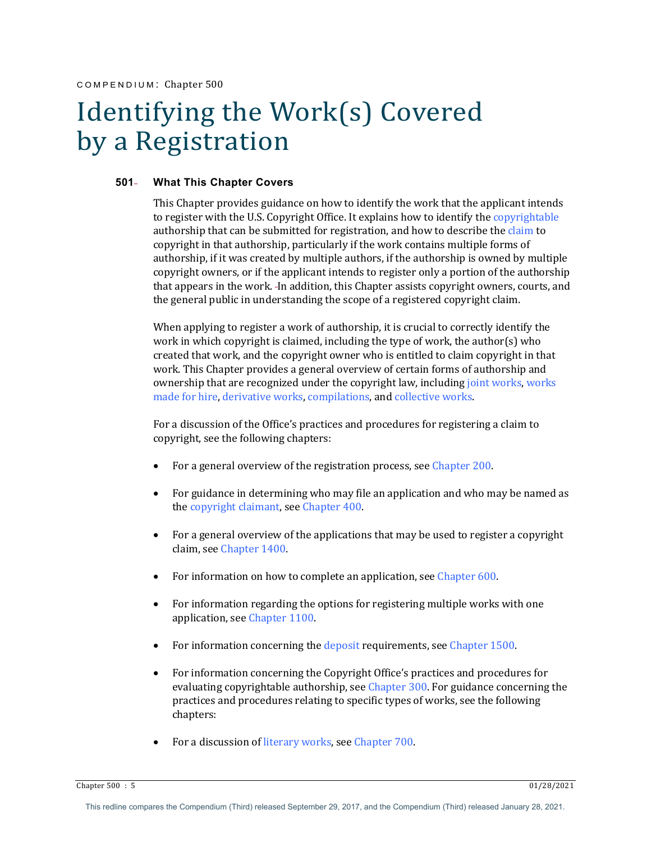# Identifying the Work(s) Covered by a Registration

#### **501 What This Chapter Covers**

This Chapter provides guidance on how to identify the work that the applicant intends to register with the U.S. Copyright Office. It explains how to identify the copyrightable authorship that can be submitted for registration, and how to describe the claim to copyright in that authorship, particularly if the work contains multiple forms of authorship, if it was created by multiple authors, if the authorship is owned by multiple copyright owners, or if the applicant intends to register only a portion of the authorship that appears in the work. In addition, this Chapter assists copyright owners, courts, and the general public in understanding the scope of a registered copyright claim.

When applying to register a work of authorship, it is crucial to correctly identify the work in which copyright is claimed, including the type of work, the author(s) who created that work, and the copyright owner who is entitled to claim copyright in that work. This Chapter provides a general overview of certain forms of authorship and ownership that are recognized under the copyright law, including joint works, works made for hire, derivative works, compilations, and collective works.

For a discussion of the Office's practices and procedures for registering a claim to copyright, see the following chapters:

- For a general overview of the registration process, see Chapter 200.
- For guidance in determining who may file an application and who may be named as the copyright claimant, see Chapter 400.
- For a general overview of the applications that may be used to register a copyright claim, see Chapter 1400.
- For information on how to complete an application, see Chapter  $600$ .
- For information regarding the options for registering multiple works with one application, see Chapter 1100.
- For information concerning the deposit requirements, see Chapter  $1500$ .
- For information concerning the Copyright Office's practices and procedures for evaluating copyrightable authorship, see Chapter 300. For guidance concerning the practices and procedures relating to specific types of works, see the following chapters:
- For a discussion of literary works, see Chapter 700.

Chapter 500 : 5 01/28/2021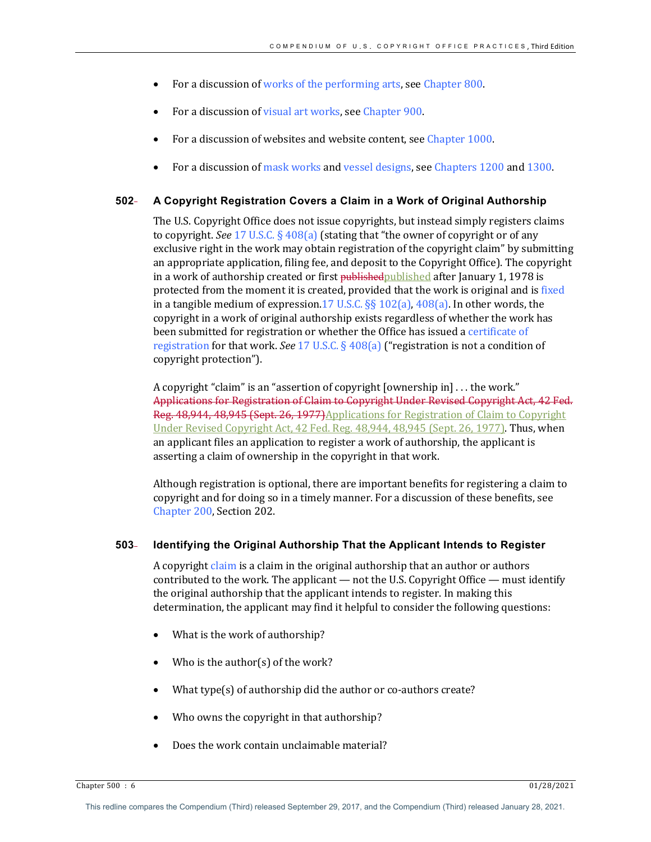- For a discussion of works of the performing arts, see Chapter 800.
- For a discussion of visual art works, see Chapter 900.
- For a discussion of websites and website content, see Chapter 1000.
- For a discussion of mask works and vessel designs, see Chapters 1200 and 1300.

# **502 A Copyright Registration Covers a Claim in a Work of Original Authorship**

The U.S. Copyright Office does not issue copyrights, but instead simply registers claims to copyright. See 17 U.S.C. § 408(a) (stating that "the owner of copyright or of any exclusive right in the work may obtain registration of the copyright claim" by submitting an appropriate application, filing fee, and deposit to the Copyright Office). The copyright in a work of authorship created or first **published** published after January 1, 1978 is protected from the moment it is created, provided that the work is original and is fixed in a tangible medium of expression.17 U.S.C.  $\S$  102(a), 408(a). In other words, the copyright in a work of original authorship exists regardless of whether the work has been submitted for registration or whether the Office has issued a certificate of registration for that work. See 17 U.S.C. § 408(a) ("registration is not a condition of copyright protection").

A copyright "claim" is an "assertion of copyright  $[overship in] \dots$  the work." Applications for Registration of Claim to Copyright Under Revised Copyright Act, 42 Fed. Reg. 48,944, 48,945 (Sept. 26, 1977)Applications for Registration of Claim to Copyright Under Revised Copyright Act, 42 Fed. Reg. 48,944, 48,945 (Sept. 26, 1977). Thus, when an applicant files an application to register a work of authorship, the applicant is asserting a claim of ownership in the copyright in that work.

Although registration is optional, there are important benefits for registering a claim to copyright and for doing so in a timely manner. For a discussion of these benefits, see Chapter 200, Section 202.

## **503 Identifying the Original Authorship That the Applicant Intends to Register**

A copyright claim is a claim in the original authorship that an author or authors contributed to the work. The applicant — not the U.S. Copyright Office — must identify the original authorship that the applicant intends to register. In making this determination, the applicant may find it helpful to consider the following questions:

- What is the work of authorship?
- Who is the author(s) of the work?
- What type(s) of authorship did the author or co-authors create?
- Who owns the copyright in that authorship?
- Does the work contain unclaimable material?

Chapter 500 : 6 01/28/2021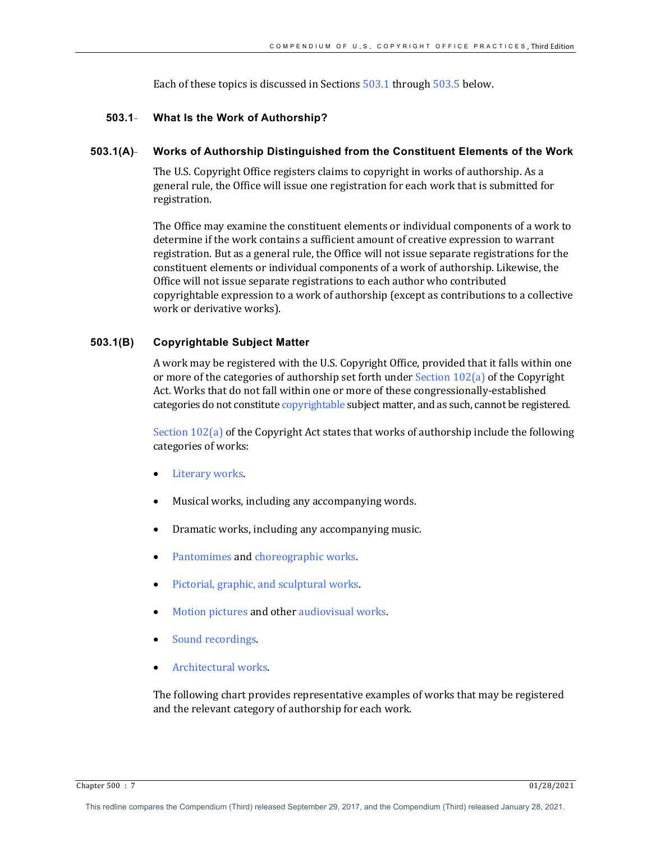Each of these topics is discussed in Sections  $503.1$  through  $503.5$  below.

# **503.1 What Is the Work of Authorship?**

# **503.1(A) Works of Authorship Distinguished from the Constituent Elements of the Work**

The U.S. Copyright Office registers claims to copyright in works of authorship. As a general rule, the Office will issue one registration for each work that is submitted for registration. 

The Office may examine the constituent elements or individual components of a work to determine if the work contains a sufficient amount of creative expression to warrant registration. But as a general rule, the Office will not issue separate registrations for the constituent elements or individual components of a work of authorship. Likewise, the Office will not issue separate registrations to each author who contributed copyrightable expression to a work of authorship (except as contributions to a collective work or derivative works).

# **503.1(B) Copyrightable Subject Matter**

A work may be registered with the U.S. Copyright Office, provided that it falls within one or more of the categories of authorship set forth under Section  $102(a)$  of the Copyright Act. Works that do not fall within one or more of these congressionally-established categories do not constitute copyrightable subject matter, and as such, cannot be registered.

Section  $102(a)$  of the Copyright Act states that works of authorship include the following categories of works:

- Literary works.
- Musical works, including any accompanying words.
- Dramatic works, including any accompanying music.
- Pantomimes and choreographic works.
- Pictorial, graphic, and sculptural works.
- Motion pictures and other audiovisual works.
- Sound recordings.
- Architectural works.

The following chart provides representative examples of works that may be registered and the relevant category of authorship for each work.

Chapter 500 : 7 01/28/2021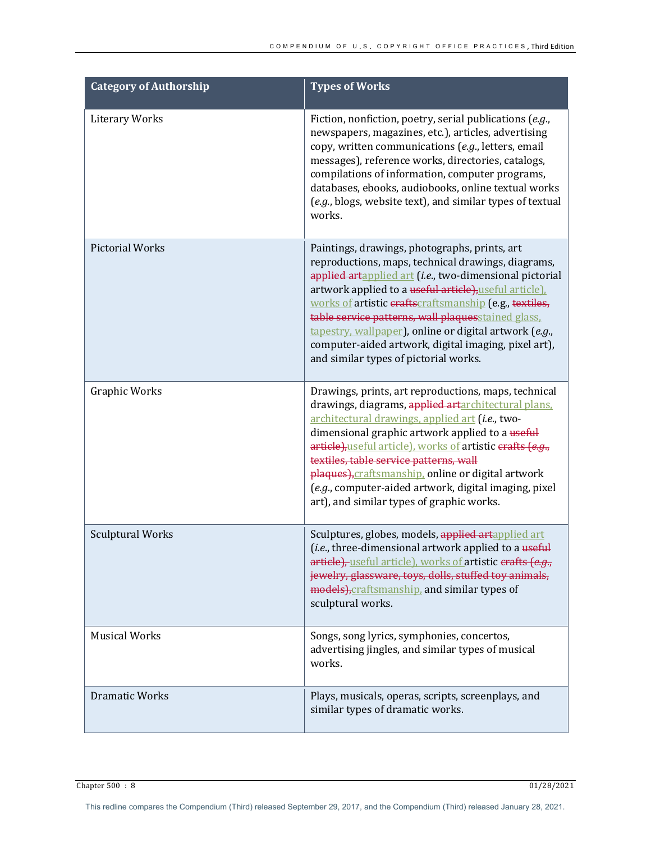| <b>Category of Authorship</b> | <b>Types of Works</b>                                                                                                                                                                                                                                                                                                                                                                                                                                                                               |
|-------------------------------|-----------------------------------------------------------------------------------------------------------------------------------------------------------------------------------------------------------------------------------------------------------------------------------------------------------------------------------------------------------------------------------------------------------------------------------------------------------------------------------------------------|
| <b>Literary Works</b>         | Fiction, nonfiction, poetry, serial publications (e.g.,<br>newspapers, magazines, etc.), articles, advertising<br>copy, written communications (e.g., letters, email<br>messages), reference works, directories, catalogs,<br>compilations of information, computer programs,<br>databases, ebooks, audiobooks, online textual works<br>(e.g., blogs, website text), and similar types of textual<br>works.                                                                                         |
| <b>Pictorial Works</b>        | Paintings, drawings, photographs, prints, art<br>reproductions, maps, technical drawings, diagrams,<br>applied artapplied art (i.e., two-dimensional pictorial<br>artwork applied to a useful article), useful article).<br>works of artistic eraftscraftsmanship (e.g., textiles,<br>table service patterns, wall plaquesstained glass,<br>tapestry, wallpaper), online or digital artwork (e.g.,<br>computer-aided artwork, digital imaging, pixel art),<br>and similar types of pictorial works. |
| Graphic Works                 | Drawings, prints, art reproductions, maps, technical<br>drawings, diagrams, applied artarchitectural plans.<br>architectural drawings, applied art (i.e., two-<br>dimensional graphic artwork applied to a useful<br>article), useful article), works of artistic erafts (e.g.,<br>textiles, table service patterns, wall<br>plaques), craftsmanship, online or digital artwork<br>(e.g., computer-aided artwork, digital imaging, pixel<br>art), and similar types of graphic works.               |
| <b>Sculptural Works</b>       | Sculptures, globes, models, applied artapplied art<br>(i.e., three-dimensional artwork applied to a useful<br>article), useful article), works of artistic erafts (e.g.,<br>jewelry, glassware, toys, dolls, stuffed toy animals,<br>models), craftsmanship, and similar types of<br>sculptural works.                                                                                                                                                                                              |
| <b>Musical Works</b>          | Songs, song lyrics, symphonies, concertos,<br>advertising jingles, and similar types of musical<br>works.                                                                                                                                                                                                                                                                                                                                                                                           |
| <b>Dramatic Works</b>         | Plays, musicals, operas, scripts, screenplays, and<br>similar types of dramatic works.                                                                                                                                                                                                                                                                                                                                                                                                              |

 $\frac{1}{28/2021}$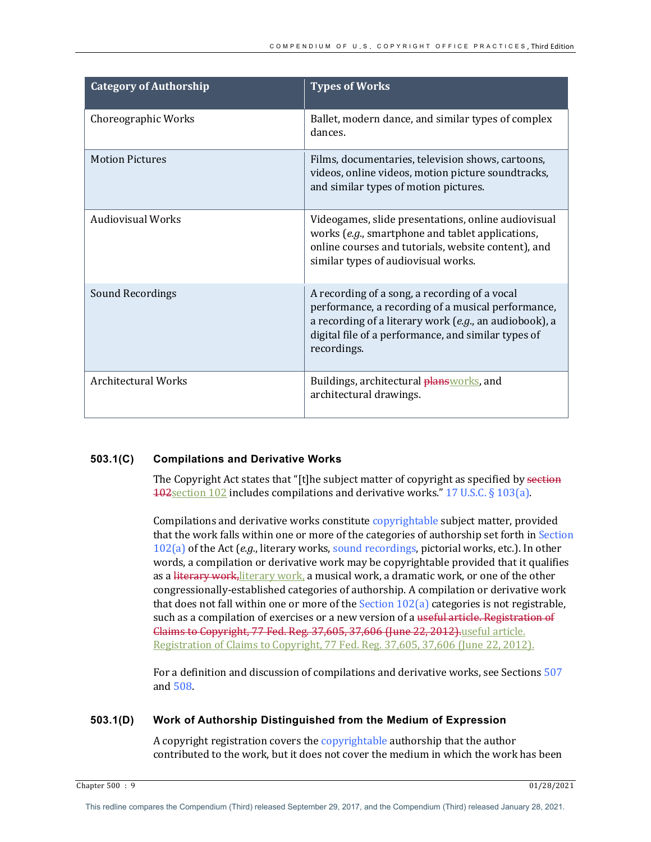| <b>Category of Authorship</b> | <b>Types of Works</b>                                                                                                                                                                                                               |
|-------------------------------|-------------------------------------------------------------------------------------------------------------------------------------------------------------------------------------------------------------------------------------|
| Choreographic Works           | Ballet, modern dance, and similar types of complex<br>dances.                                                                                                                                                                       |
| <b>Motion Pictures</b>        | Films, documentaries, television shows, cartoons,<br>videos, online videos, motion picture soundtracks,<br>and similar types of motion pictures.                                                                                    |
| <b>Audiovisual Works</b>      | Videogames, slide presentations, online audiovisual<br>works (e.g., smartphone and tablet applications,<br>online courses and tutorials, website content), and<br>similar types of audiovisual works.                               |
| Sound Recordings              | A recording of a song, a recording of a vocal<br>performance, a recording of a musical performance,<br>a recording of a literary work (e.g., an audiobook), a<br>digital file of a performance, and similar types of<br>recordings. |
| <b>Architectural Works</b>    | Buildings, architectural plansworks, and<br>architectural drawings.                                                                                                                                                                 |

# **503.1(C) Compilations and Derivative Works**

The Copyright Act states that "[t]he subject matter of copyright as specified by section  $102$  section 102 includes compilations and derivative works." 17 U.S.C. § 103(a).

Compilations and derivative works constitute copyrightable subject matter, provided that the work falls within one or more of the categories of authorship set forth in Section  $102(a)$  of the Act  $(e.g.,$  literary works, sound recordings, pictorial works, etc.). In other words, a compilation or derivative work may be copyrightable provided that it qualifies as a literary work, literary work, a musical work, a dramatic work, or one of the other congressionally-established categories of authorship. A compilation or derivative work that does not fall within one or more of the Section  $102(a)$  categories is not registrable, such as a compilation of exercises or a new version of a useful article. Registration of Glaims to Copyright, 77 Fed. Reg. 37,605, 37,606 (June 22, 2012).useful article. Registration of Claims to Copyright, 77 Fed. Reg. 37,605, 37,606 (June 22, 2012).

For a definition and discussion of compilations and derivative works, see Sections 507 and 508.

## **503.1(D) Work of Authorship Distinguished from the Medium of Expression**

A copyright registration covers the copyrightable authorship that the author contributed to the work, but it does not cover the medium in which the work has been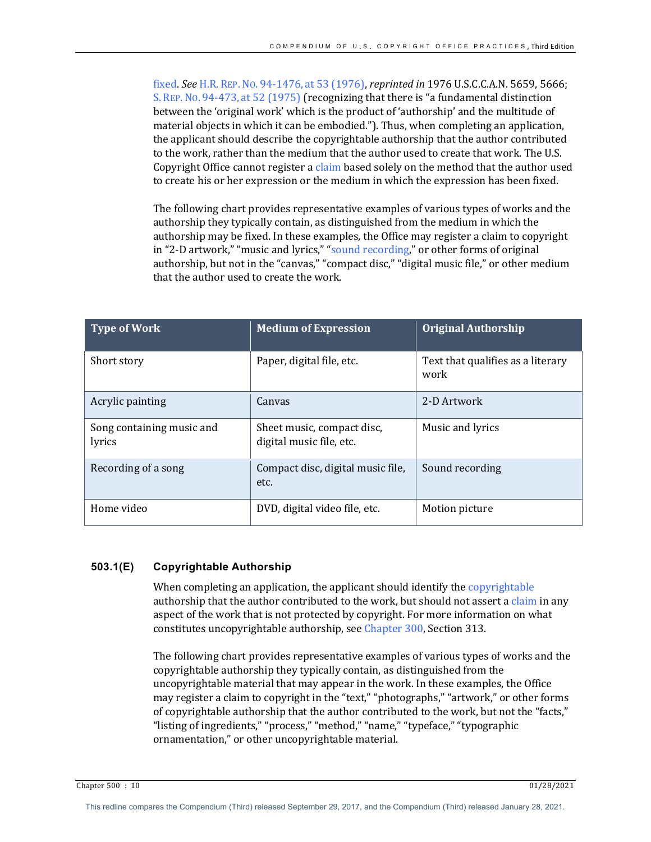fixed. See H.R. REP. No. 94-1476, at 53 (1976), *reprinted in* 1976 U.S.C.C.A.N. 5659, 5666; S. REP. No. 94-473, at  $52$  (1975) (recognizing that there is "a fundamental distinction between the 'original work' which is the product of 'authorship' and the multitude of material objects in which it can be embodied."). Thus, when completing an application, the applicant should describe the copyrightable authorship that the author contributed to the work, rather than the medium that the author used to create that work. The U.S. Copyright Office cannot register a claim based solely on the method that the author used to create his or her expression or the medium in which the expression has been fixed.

The following chart provides representative examples of various types of works and the authorship they typically contain, as distinguished from the medium in which the authorship may be fixed. In these examples, the Office may register a claim to copyright in "2-D artwork," "music and lyrics," "sound recording," or other forms of original authorship, but not in the "canvas," "compact disc," "digital music file," or other medium that the author used to create the work.

| <b>Type of Work</b>                 | <b>Medium of Expression</b>                            | <b>Original Authorship</b>                |
|-------------------------------------|--------------------------------------------------------|-------------------------------------------|
| Short story                         | Paper, digital file, etc.                              | Text that qualifies as a literary<br>work |
| Acrylic painting                    | Canvas                                                 | 2-D Artwork                               |
| Song containing music and<br>lyrics | Sheet music, compact disc,<br>digital music file, etc. | Music and lyrics                          |
| Recording of a song                 | Compact disc, digital music file,<br>etc.              | Sound recording                           |
| Home video                          | DVD, digital video file, etc.                          | Motion picture                            |

# **503.1(E) Copyrightable Authorship**

When completing an application, the applicant should identify the copyrightable authorship that the author contributed to the work, but should not assert a claim in any aspect of the work that is not protected by copyright. For more information on what constitutes uncopyrightable authorship, see Chapter 300, Section 313.

The following chart provides representative examples of various types of works and the copyrightable authorship they typically contain, as distinguished from the uncopyrightable material that may appear in the work. In these examples, the Office may register a claim to copyright in the "text," "photographs," "artwork," or other forms of copyrightable authorship that the author contributed to the work, but not the "facts," "listing of ingredients," "process," "method," "name," "typeface," "typographic ornamentation," or other uncopyrightable material.

Chapter 500 : 10 01/28/2021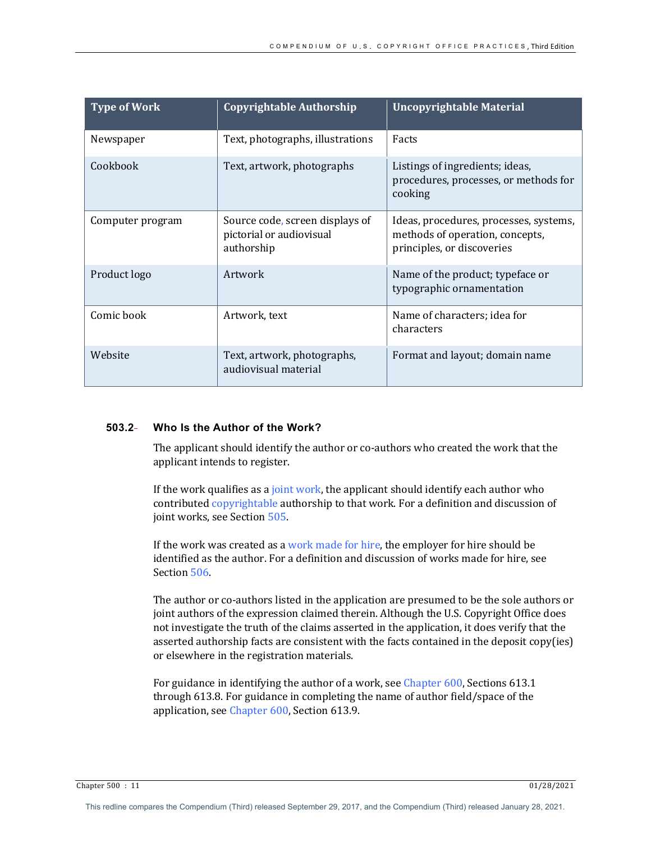| <b>Type of Work</b> | <b>Copyrightable Authorship</b>                                           | <b>Uncopyrightable Material</b>                                                                         |
|---------------------|---------------------------------------------------------------------------|---------------------------------------------------------------------------------------------------------|
| Newspaper           | Text, photographs, illustrations                                          | Facts                                                                                                   |
| Cookbook            | Text, artwork, photographs                                                | Listings of ingredients; ideas,<br>procedures, processes, or methods for<br>cooking                     |
| Computer program    | Source code, screen displays of<br>pictorial or audiovisual<br>authorship | Ideas, procedures, processes, systems,<br>methods of operation, concepts,<br>principles, or discoveries |
| Product logo        | Artwork                                                                   | Name of the product; typeface or<br>typographic ornamentation                                           |
| Comic book          | Artwork, text                                                             | Name of characters; idea for<br>characters                                                              |
| Website             | Text, artwork, photographs,<br>audiovisual material                       | Format and layout; domain name                                                                          |

# **503.2 Who Is the Author of the Work?**

The applicant should identify the author or co-authors who created the work that the applicant intends to register.

If the work qualifies as a joint work, the applicant should identify each author who contributed copyrightable authorship to that work. For a definition and discussion of joint works, see Section 505.

If the work was created as a work made for hire, the employer for hire should be identified as the author. For a definition and discussion of works made for hire, see Section 506.

The author or co-authors listed in the application are presumed to be the sole authors or joint authors of the expression claimed therein. Although the U.S. Copyright Office does not investigate the truth of the claims asserted in the application, it does verify that the asserted authorship facts are consistent with the facts contained in the deposit copy(ies) or elsewhere in the registration materials.

For guidance in identifying the author of a work, see Chapter 600, Sections 613.1 through 613.8. For guidance in completing the name of author field/space of the application, see Chapter 600, Section 613.9.

Chapter 500 : 11 01/28/2021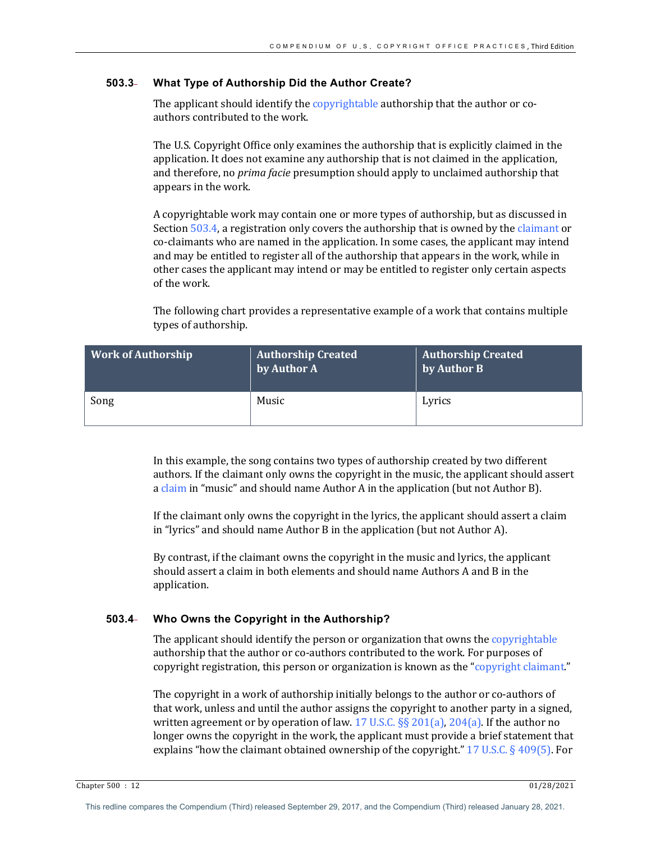# **503.3 What Type of Authorship Did the Author Create?**

The applicant should identify the copyrightable authorship that the author or coauthors contributed to the work.

The U.S. Copyright Office only examines the authorship that is explicitly claimed in the application. It does not examine any authorship that is not claimed in the application, and therefore, no *prima facie* presumption should apply to unclaimed authorship that appears in the work.

A copyrightable work may contain one or more types of authorship, but as discussed in Section 503.4, a registration only covers the authorship that is owned by the claimant or co-claimants who are named in the application. In some cases, the applicant may intend and may be entitled to register all of the authorship that appears in the work, while in other cases the applicant may intend or may be entitled to register only certain aspects of the work.

The following chart provides a representative example of a work that contains multiple types of authorship.

| <b>Work of Authorship</b> | <b>Authorship Created</b><br>by Author A | <b>Authorship Created</b><br>by Author B |
|---------------------------|------------------------------------------|------------------------------------------|
| Song                      | Music                                    | Lyrics                                   |

In this example, the song contains two types of authorship created by two different authors. If the claimant only owns the copyright in the music, the applicant should assert a claim in "music" and should name Author A in the application (but not Author B).

If the claimant only owns the copyright in the lyrics, the applicant should assert a claim in "lyrics" and should name Author B in the application (but not Author A).

By contrast, if the claimant owns the copyright in the music and lyrics, the applicant should assert a claim in both elements and should name Authors A and B in the application.

# **503.4 Who Owns the Copyright in the Authorship?**

The applicant should identify the person or organization that owns the copyrightable authorship that the author or co-authors contributed to the work. For purposes of copyright registration, this person or organization is known as the "copyright claimant."

The copyright in a work of authorship initially belongs to the author or co-authors of that work, unless and until the author assigns the copyright to another party in a signed, written agreement or by operation of law. 17 U.S.C. §§ 201(a), 204(a). If the author no longer owns the copyright in the work, the applicant must provide a brief statement that explains "how the claimant obtained ownership of the copyright."  $17 \text{ U.S.C.}$  § 409(5). For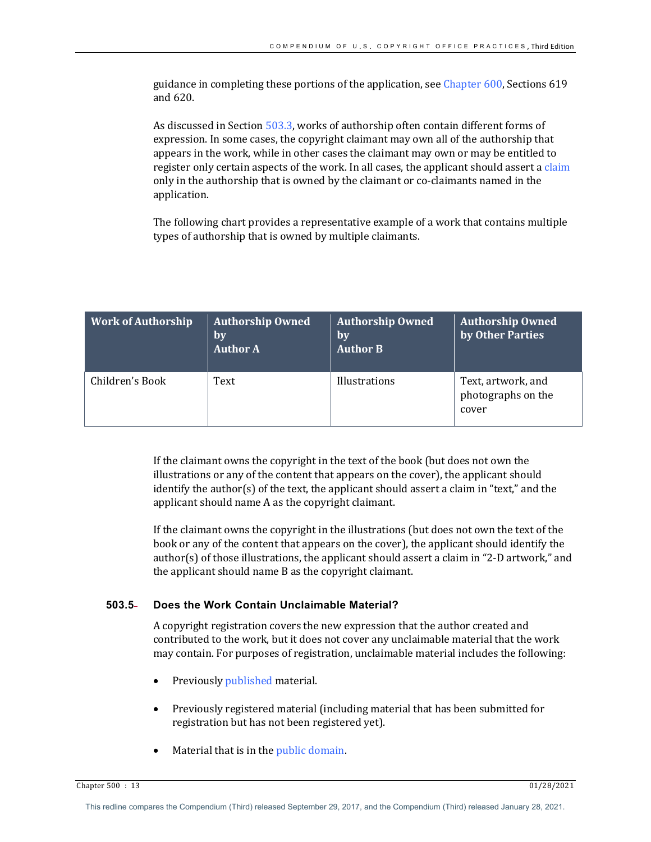guidance in completing these portions of the application, see Chapter  $600$ , Sections  $619$ and 620.

As discussed in Section 503.3, works of authorship often contain different forms of expression. In some cases, the copyright claimant may own all of the authorship that appears in the work, while in other cases the claimant may own or may be entitled to register only certain aspects of the work. In all cases, the applicant should assert a claim only in the authorship that is owned by the claimant or co-claimants named in the application. 

The following chart provides a representative example of a work that contains multiple types of authorship that is owned by multiple claimants.

| <b>Work of Authorship</b> | <b>Authorship Owned</b><br>by<br><b>Author A</b> | <b>Authorship Owned</b><br>by<br><b>Author B</b> | <b>Authorship Owned</b><br>by Other Parties       |
|---------------------------|--------------------------------------------------|--------------------------------------------------|---------------------------------------------------|
| Children's Book           | Text                                             | Illustrations                                    | Text, artwork, and<br>photographs on the<br>cover |

If the claimant owns the copyright in the text of the book (but does not own the illustrations or any of the content that appears on the cover), the applicant should identify the author(s) of the text, the applicant should assert a claim in "text," and the applicant should name A as the copyright claimant.

If the claimant owns the copyright in the illustrations (but does not own the text of the book or any of the content that appears on the cover), the applicant should identify the author(s) of those illustrations, the applicant should assert a claim in "2-D artwork," and the applicant should name B as the copyright claimant.

# **503.5 Does the Work Contain Unclaimable Material?**

A copyright registration covers the new expression that the author created and contributed to the work, but it does not cover any unclaimable material that the work may contain. For purposes of registration, unclaimable material includes the following:

- Previously published material.
- Previously registered material (including material that has been submitted for registration but has not been registered yet).
- Material that is in the public domain.

Chapter 500 : 13 01/28/2021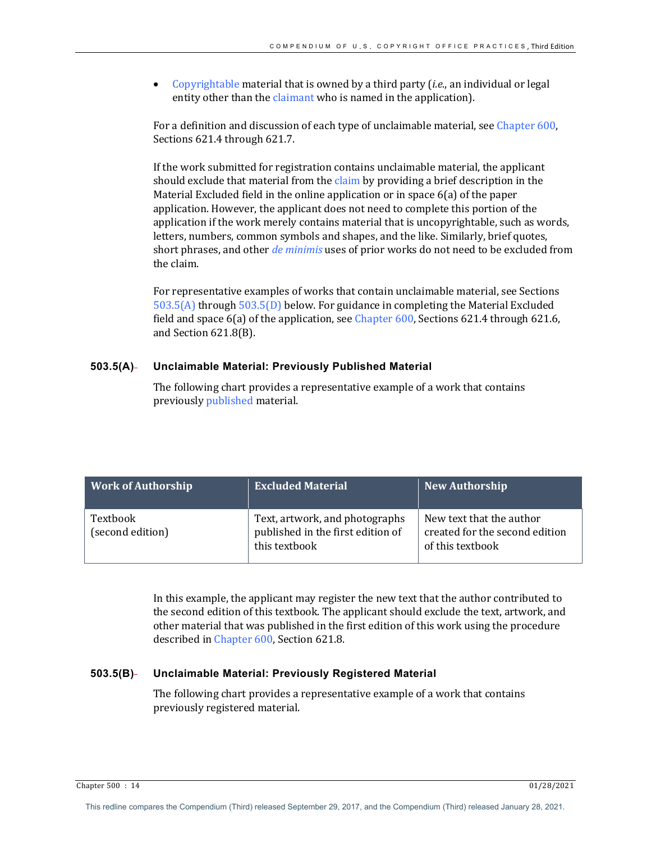Copyrightable material that is owned by a third party *(i.e.,* an individual or legal entity other than the claimant who is named in the application).

For a definition and discussion of each type of unclaimable material, see Chapter 600, Sections 621.4 through 621.7.

If the work submitted for registration contains unclaimable material, the applicant should exclude that material from the claim by providing a brief description in the Material Excluded field in the online application or in space  $6(a)$  of the paper application. However, the applicant does not need to complete this portion of the application if the work merely contains material that is uncopyrightable, such as words, letters, numbers, common symbols and shapes, and the like. Similarly, brief quotes, short phrases, and other *de minimis* uses of prior works do not need to be excluded from the claim.

For representative examples of works that contain unclaimable material, see Sections  $503.5(A)$  through  $503.5(D)$  below. For guidance in completing the Material Excluded field and space  $6(a)$  of the application, see Chapter  $600$ , Sections  $621.4$  through  $621.6$ , and Section 621.8(B).

# **503.5(A) Unclaimable Material: Previously Published Material**

The following chart provides a representative example of a work that contains previously published material.

| <b>Work of Authorship</b>    | <b>Excluded Material</b>                                                             | <b>New Authorship</b>                                                          |
|------------------------------|--------------------------------------------------------------------------------------|--------------------------------------------------------------------------------|
| Textbook<br>(second edition) | Text, artwork, and photographs<br>published in the first edition of<br>this textbook | New text that the author<br>created for the second edition<br>of this textbook |

In this example, the applicant may register the new text that the author contributed to the second edition of this textbook. The applicant should exclude the text, artwork, and other material that was published in the first edition of this work using the procedure described in Chapter 600, Section 621.8.

# **503.5(B) Unclaimable Material: Previously Registered Material**

The following chart provides a representative example of a work that contains previously registered material.

Chapter 500 : 14 01/28/2021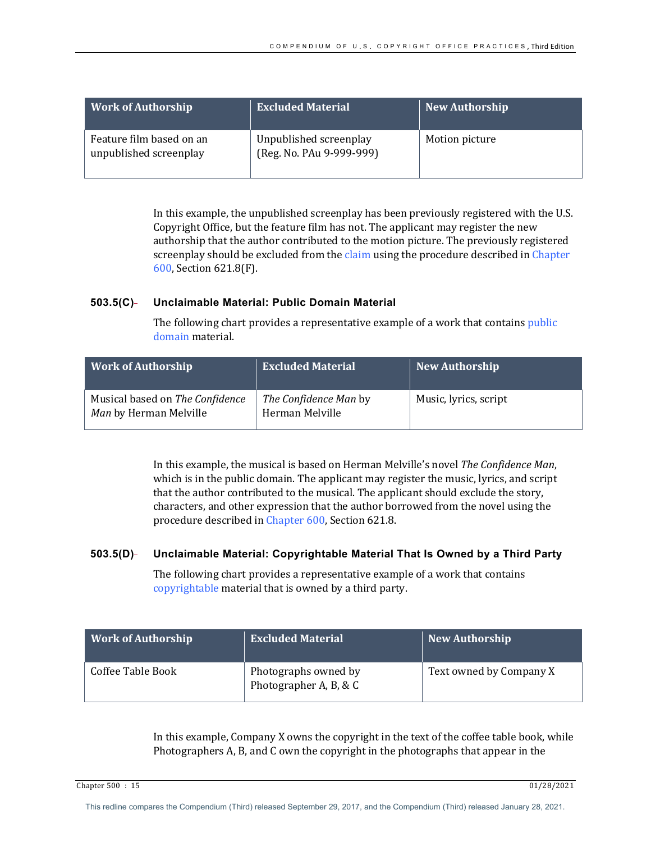| <b>Work of Authorship</b>                          | <b>Excluded Material</b>                           | <b>New Authorship</b> |
|----------------------------------------------------|----------------------------------------------------|-----------------------|
| Feature film based on an<br>unpublished screenplay | Unpublished screenplay<br>(Reg. No. PAu 9-999-999) | Motion picture        |

In this example, the unpublished screenplay has been previously registered with the U.S. Copyright Office, but the feature film has not. The applicant may register the new authorship that the author contributed to the motion picture. The previously registered screenplay should be excluded from the claim using the procedure described in Chapter 600, Section 621.8(F).

# **503.5(C) Unclaimable Material: Public Domain Material**

The following chart provides a representative example of a work that contains public domain material.

| Work of Authorship                                        | <b>Excluded Material</b>                        | New Authorship        |
|-----------------------------------------------------------|-------------------------------------------------|-----------------------|
| Musical based on The Confidence<br>Man by Herman Melville | <i>The Confidence Man by</i><br>Herman Melville | Music, lyrics, script |

In this example, the musical is based on Herman Melville's novel *The Confidence Man*, which is in the public domain. The applicant may register the music, lyrics, and script that the author contributed to the musical. The applicant should exclude the story, characters, and other expression that the author borrowed from the novel using the procedure described in Chapter 600, Section 621.8.

# **503.5(D) Unclaimable Material: Copyrightable Material That Is Owned by a Third Party**

The following chart provides a representative example of a work that contains copyrightable material that is owned by a third party.

| Work of Authorship | <b>Excluded Material</b>                       | New Authorship          |
|--------------------|------------------------------------------------|-------------------------|
| Coffee Table Book  | Photographs owned by<br>Photographer A, B, & C | Text owned by Company X |

In this example, Company X owns the copyright in the text of the coffee table book, while Photographers A, B, and C own the copyright in the photographs that appear in the

Chapter 500 : 15 01/28/2021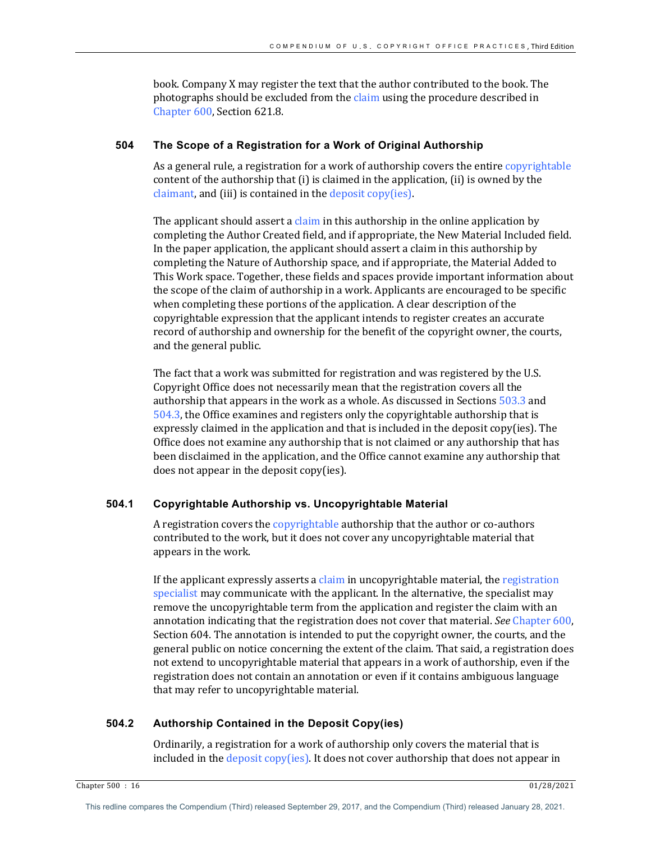book. Company X may register the text that the author contributed to the book. The photographs should be excluded from the claim using the procedure described in Chapter 600, Section 621.8.

# **504 The Scope of a Registration for a Work of Original Authorship**

As a general rule, a registration for a work of authorship covers the entire copyrightable content of the authorship that  $(i)$  is claimed in the application,  $(ii)$  is owned by the  $claimant$ , and (iii) is contained in the deposit  $copy(ies)$ .

The applicant should assert a claim in this authorship in the online application by completing the Author Created field, and if appropriate, the New Material Included field. In the paper application, the applicant should assert a claim in this authorship by completing the Nature of Authorship space, and if appropriate, the Material Added to This Work space. Together, these fields and spaces provide important information about the scope of the claim of authorship in a work. Applicants are encouraged to be specific when completing these portions of the application. A clear description of the copyrightable expression that the applicant intends to register creates an accurate record of authorship and ownership for the benefit of the copyright owner, the courts, and the general public.

The fact that a work was submitted for registration and was registered by the U.S. Copyright Office does not necessarily mean that the registration covers all the authorship that appears in the work as a whole. As discussed in Sections  $503.3$  and  $504.3$ , the Office examines and registers only the copyrightable authorship that is expressly claimed in the application and that is included in the deposit copy(ies). The Office does not examine any authorship that is not claimed or any authorship that has been disclaimed in the application, and the Office cannot examine any authorship that  $does not appear in the deposit copy (ies).$ 

# **504.1 Copyrightable Authorship vs. Uncopyrightable Material**

A registration covers the copyrightable authorship that the author or co-authors contributed to the work, but it does not cover any uncopyrightable material that appears in the work.

If the applicant expressly asserts a claim in uncopyrightable material, the registration specialist may communicate with the applicant. In the alternative, the specialist may remove the uncopyrightable term from the application and register the claim with an annotation indicating that the registration does not cover that material. See Chapter 600, Section 604. The annotation is intended to put the copyright owner, the courts, and the general public on notice concerning the extent of the claim. That said, a registration does not extend to uncopyrightable material that appears in a work of authorship, even if the registration does not contain an annotation or even if it contains ambiguous language that may refer to uncopyrightable material.

# **504.2 Authorship Contained in the Deposit Copy(ies)**

Ordinarily, a registration for a work of authorship only covers the material that is included in the deposit copy(ies). It does not cover authorship that does not appear in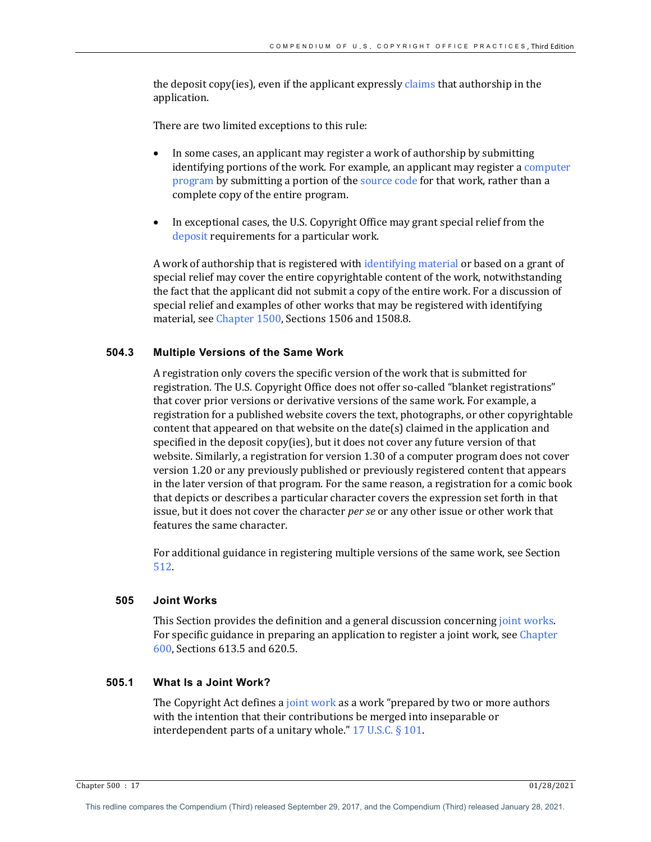the deposit copy(ies), even if the applicant expressly claims that authorship in the application.

There are two limited exceptions to this rule:

- In some cases, an applicant may register a work of authorship by submitting identifying portions of the work. For example, an applicant may register a computer program by submitting a portion of the source code for that work, rather than a complete copy of the entire program.
- In exceptional cases, the U.S. Copyright Office may grant special relief from the deposit requirements for a particular work.

A work of authorship that is registered with identifying material or based on a grant of special relief may cover the entire copyrightable content of the work, notwithstanding the fact that the applicant did not submit a copy of the entire work. For a discussion of special relief and examples of other works that may be registered with identifying material, see Chapter 1500, Sections 1506 and 1508.8.

# **504.3 Multiple Versions of the Same Work**

A registration only covers the specific version of the work that is submitted for registration. The U.S. Copyright Office does not offer so-called "blanket registrations" that cover prior versions or derivative versions of the same work. For example, a registration for a published website covers the text, photographs, or other copyrightable content that appeared on that website on the date(s) claimed in the application and specified in the deposit copy(ies), but it does not cover any future version of that website. Similarly, a registration for version 1.30 of a computer program does not cover version 1.20 or any previously published or previously registered content that appears in the later version of that program. For the same reason, a registration for a comic book that depicts or describes a particular character covers the expression set forth in that issue, but it does not cover the character *per se* or any other issue or other work that features the same character.

For additional guidance in registering multiple versions of the same work, see Section 512.

#### **505 Joint Works**

This Section provides the definition and a general discussion concerning joint works. For specific guidance in preparing an application to register a joint work, see Chapter 600, Sections 613.5 and 620.5.

## **505.1 What Is a Joint Work?**

The Copyright Act defines a joint work as a work "prepared by two or more authors" with the intention that their contributions be merged into inseparable or interdependent parts of a unitary whole."  $17$  U.S.C. § 101.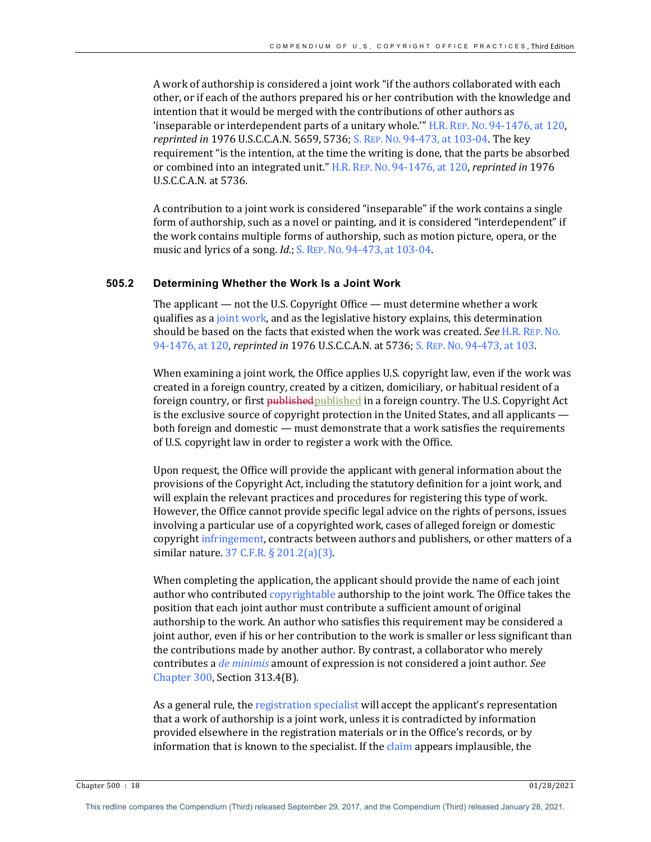A work of authorship is considered a joint work "if the authors collaborated with each other, or if each of the authors prepared his or her contribution with the knowledge and intention that it would be merged with the contributions of other authors as 'inseparable or interdependent parts of a unitary whole.'"  $H.R.$  Rep. No. 94-1476, at 120, *reprinted in* 1976 U.S.C.C.A.N. 5659, 5736; S. REP. No. 94-473, at 103-04. The key requirement "is the intention, at the time the writing is done, that the parts be absorbed or combined into an integrated unit." H.R. REP. No. 94-1476, at 120, *reprinted in* 1976  $U.S.C.C.A.N.$ at  $5736$ .

A contribution to a joint work is considered "inseparable" if the work contains a single form of authorship, such as a novel or painting, and it is considered "interdependent" if the work contains multiple forms of authorship, such as motion picture, opera, or the music and lyrics of a song. *Id.*; S. REP. No. 94-473, at 103-04.

## **505.2 Determining Whether the Work Is a Joint Work**

The applicant  $-$  not the U.S. Copyright Office  $-$  must determine whether a work qualifies as a joint work, and as the legislative history explains, this determination should be based on the facts that existed when the work was created. See H.R. REP. No. 94-1476, at 120, *reprinted in* 1976 U.S.C.C.A.N. at 5736; S. REP. No. 94-473, at 103.

When examining a joint work, the Office applies U.S. copyright law, even if the work was created in a foreign country, created by a citizen, domiciliary, or habitual resident of a foreign country, or first <del>published</del> published in a foreign country. The U.S. Copyright Act is the exclusive source of copyright protection in the United States, and all applicants  $$ both foreign and domestic — must demonstrate that a work satisfies the requirements of U.S. copyright law in order to register a work with the Office.

Upon request, the Office will provide the applicant with general information about the provisions of the Copyright Act, including the statutory definition for a joint work, and will explain the relevant practices and procedures for registering this type of work. However, the Office cannot provide specific legal advice on the rights of persons, issues involving a particular use of a copyrighted work, cases of alleged foreign or domestic copyright infringement, contracts between authors and publishers, or other matters of a similar nature.  $37$  C.F.R.  $\S 201.2(a)(3)$ .

When completing the application, the applicant should provide the name of each joint author who contributed copyrightable authorship to the joint work. The Office takes the position that each joint author must contribute a sufficient amount of original authorship to the work. An author who satisfies this requirement may be considered a joint author, even if his or her contribution to the work is smaller or less significant than the contributions made by another author. By contrast, a collaborator who merely contributes a *de minimis* amount of expression is not considered a joint author. See Chapter 300, Section 313.4(B).

As a general rule, the registration specialist will accept the applicant's representation that a work of authorship is a joint work, unless it is contradicted by information provided elsewhere in the registration materials or in the Office's records, or by information that is known to the specialist. If the claim appears implausible, the

Chapter 500 : 18 01/28/2021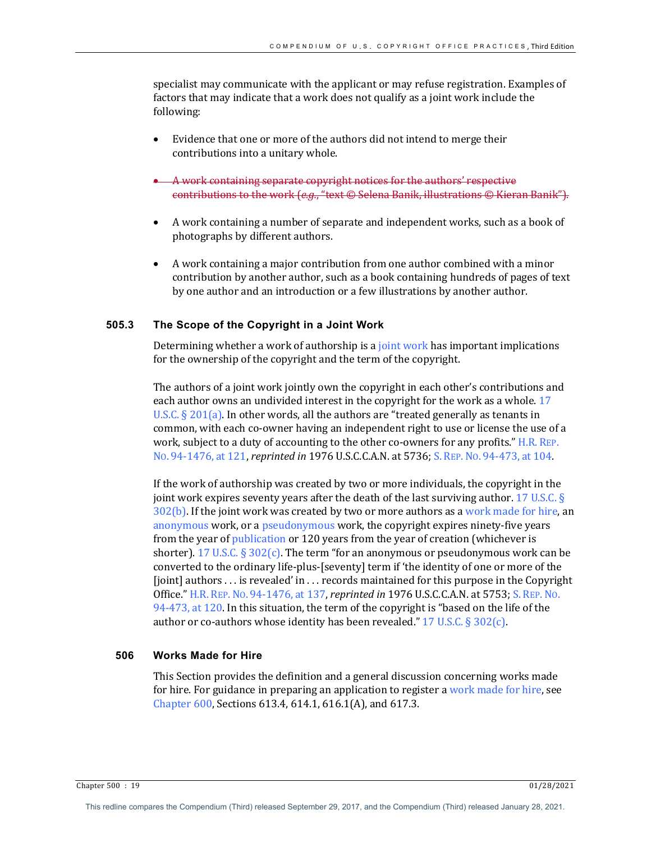specialist may communicate with the applicant or may refuse registration. Examples of factors that may indicate that a work does not qualify as a joint work include the following:

- Evidence that one or more of the authors did not intend to merge their contributions into a unitary whole.
- A work containing separate copyright notices for the authors' respective contributions to the work  $(e.g., "text \n $\odot$  Selena Banik, illustrations \n $\odot$  Kieran Banik".$
- A work containing a number of separate and independent works, such as a book of photographs by different authors.
- A work containing a major contribution from one author combined with a minor contribution by another author, such as a book containing hundreds of pages of text by one author and an introduction or a few illustrations by another author.

## **505.3 The Scope of the Copyright in a Joint Work**

Determining whether a work of authorship is a joint work has important implications for the ownership of the copyright and the term of the copyright.

The authors of a joint work jointly own the copyright in each other's contributions and each author owns an undivided interest in the copyright for the work as a whole. 17 U.S.C.  $\S 201(a)$ . In other words, all the authors are "treated generally as tenants in common, with each co-owner having an independent right to use or license the use of a work, subject to a duty of accounting to the other co-owners for any profits." H.R. REP. No. 94-1476, at 121, *reprinted in* 1976 U.S.C.C.A.N. at 5736; S. REP. No. 94-473, at 104.

If the work of authorship was created by two or more individuals, the copyright in the joint work expires seventy years after the death of the last surviving author. 17 U.S.C.  $\S$  $302(b)$ . If the joint work was created by two or more authors as a work made for hire, an anonymous work, or a pseudonymous work, the copyright expires ninety-five years from the year of publication or 120 years from the year of creation (whichever is shorter). 17 U.S.C.  $\S 302(c)$ . The term "for an anonymous or pseudonymous work can be converted to the ordinary life-plus-[seventy] term if 'the identity of one or more of the [joint] authors  $\dots$  is revealed' in  $\dots$  records maintained for this purpose in the Copyright Office." H.R. REP. No. 94-1476, at 137, *reprinted in* 1976 U.S.C.C.A.N. at 5753; S. REP. No. 94-473, at 120. In this situation, the term of the copyright is "based on the life of the author or co-authors whose identity has been revealed."  $17 \text{ U.S.C.}$  § 302(c).

# **506 Works Made for Hire**

This Section provides the definition and a general discussion concerning works made for hire. For guidance in preparing an application to register a work made for hire, see Chapter  $600$ , Sections  $613.4$ ,  $614.1$ ,  $616.1(A)$ , and  $617.3$ .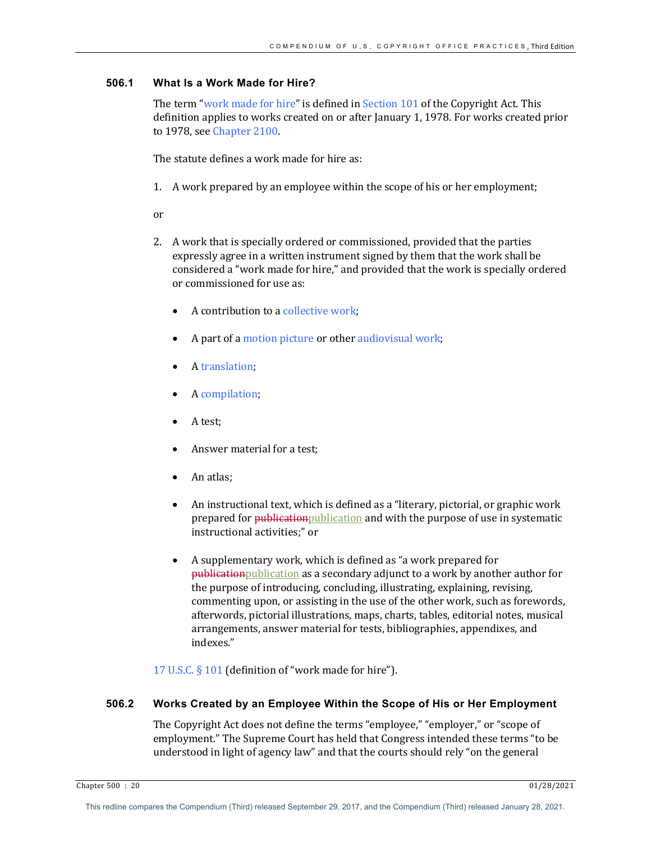# **506.1 What Is a Work Made for Hire?**

The term "work made for hire" is defined in Section  $101$  of the Copyright Act. This definition applies to works created on or after January 1, 1978. For works created prior to 1978, see Chapter 2100.

The statute defines a work made for hire as:

1. A work prepared by an employee within the scope of his or her employment;

or

- 2. A work that is specially ordered or commissioned, provided that the parties expressly agree in a written instrument signed by them that the work shall be considered a "work made for hire," and provided that the work is specially ordered or commissioned for use as:
	- A contribution to a collective work;
	- A part of a motion picture or other audiovisual work;
	- A translation;
	- A compilation;
	- A test;
	- Answer material for a test;
	- An atlas:
	- An instructional text, which is defined as a "literary, pictorial, or graphic work prepared for publication publication and with the purpose of use in systematic instructional activities;" or
	- A supplementary work, which is defined as "a work prepared for publication publication as a secondary adjunct to a work by another author for the purpose of introducing, concluding, illustrating, explaining, revising, commenting upon, or assisting in the use of the other work, such as forewords, afterwords, pictorial illustrations, maps, charts, tables, editorial notes, musical arrangements, answer material for tests, bibliographies, appendixes, and indexes."

17 U.S.C.  $\S$  101 (definition of "work made for hire").

## **506.2 Works Created by an Employee Within the Scope of His or Her Employment**

The Copyright Act does not define the terms "employee," "employer," or "scope of employment." The Supreme Court has held that Congress intended these terms "to be understood in light of agency law" and that the courts should rely "on the general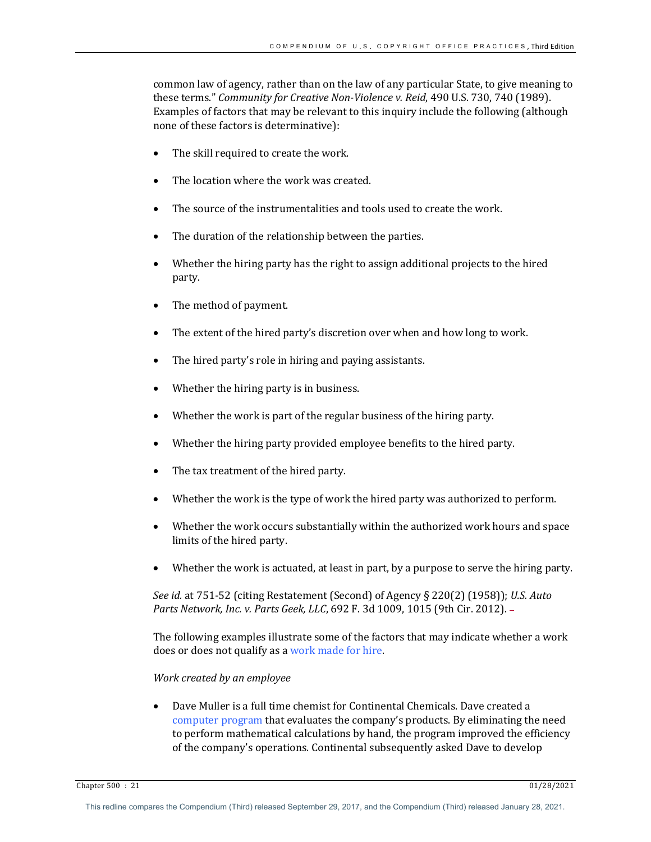common law of agency, rather than on the law of any particular State, to give meaning to these terms." *Community for Creative Non-Violence v. Reid*, 490 U.S. 730, 740 (1989). Examples of factors that may be relevant to this inquiry include the following (although none of these factors is determinative):

- The skill required to create the work.
- The location where the work was created.
- The source of the instrumentalities and tools used to create the work.
- The duration of the relationship between the parties.
- Whether the hiring party has the right to assign additional projects to the hired party.
- The method of payment.
- The extent of the hired party's discretion over when and how long to work.
- The hired party's role in hiring and paying assistants.
- Whether the hiring party is in business.
- Whether the work is part of the regular business of the hiring party.
- Whether the hiring party provided employee benefits to the hired party.
- The tax treatment of the hired party.
- Whether the work is the type of work the hired party was authorized to perform.
- Whether the work occurs substantially within the authorized work hours and space limits of the hired party.
- Whether the work is actuated, at least in part, by a purpose to serve the hiring party.

*See id.* at  $751-52$  (citing Restatement (Second) of Agency § 220(2) (1958)); *U.S. Auto Parts Network, Inc. v. Parts Geek, LLC,* 692 F. 3d 1009, 1015 (9th Cir. 2012). -

The following examples illustrate some of the factors that may indicate whether a work does or does not qualify as a work made for hire.

## *Work created by an employee*

• Dave Muller is a full time chemist for Continental Chemicals. Dave created a computer program that evaluates the company's products. By eliminating the need to perform mathematical calculations by hand, the program improved the efficiency of the company's operations. Continental subsequently asked Dave to develop

Chapter 500 : 21 01/28/2021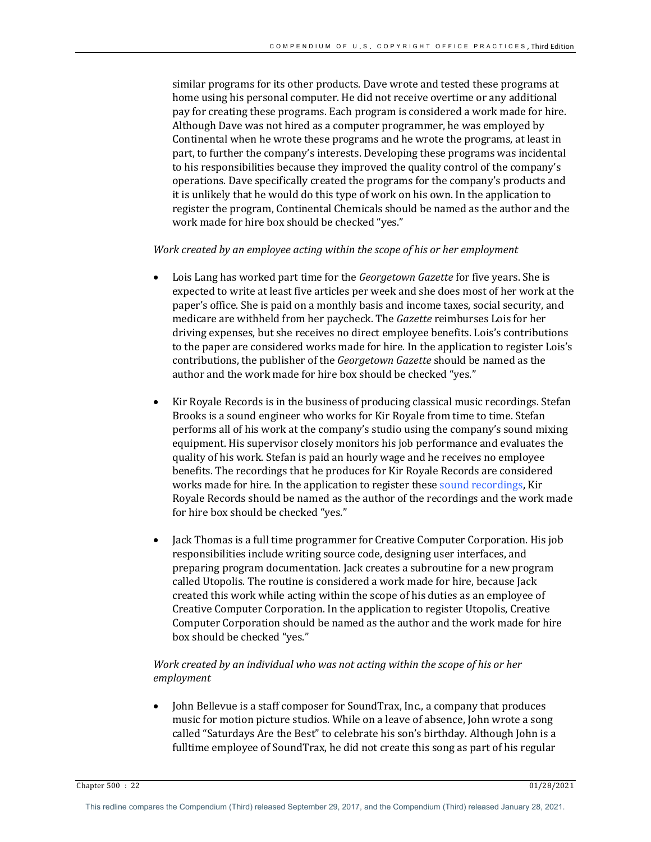similar programs for its other products. Dave wrote and tested these programs at home using his personal computer. He did not receive overtime or any additional pay for creating these programs. Each program is considered a work made for hire. Although Dave was not hired as a computer programmer, he was employed by Continental when he wrote these programs and he wrote the programs, at least in part, to further the company's interests. Developing these programs was incidental to his responsibilities because they improved the quality control of the company's operations. Dave specifically created the programs for the company's products and it is unlikely that he would do this type of work on his own. In the application to register the program, Continental Chemicals should be named as the author and the work made for hire box should be checked "yes."

#### Work created by an employee acting within the scope of his or her employment

- Lois Lang has worked part time for the *Georgetown Gazette* for five years. She is expected to write at least five articles per week and she does most of her work at the paper's office. She is paid on a monthly basis and income taxes, social security, and medicare are withheld from her paycheck. The *Gazette* reimburses Lois for her driving expenses, but she receives no direct employee benefits. Lois's contributions to the paper are considered works made for hire. In the application to register Lois's contributions, the publisher of the *Georgetown Gazette* should be named as the author and the work made for hire box should be checked "yes."
- Kir Royale Records is in the business of producing classical music recordings. Stefan Brooks is a sound engineer who works for Kir Royale from time to time. Stefan performs all of his work at the company's studio using the company's sound mixing equipment. His supervisor closely monitors his job performance and evaluates the quality of his work. Stefan is paid an hourly wage and he receives no employee benefits. The recordings that he produces for Kir Royale Records are considered works made for hire. In the application to register these sound recordings, Kir Royale Records should be named as the author of the recordings and the work made for hire box should be checked "yes."
- Jack Thomas is a full time programmer for Creative Computer Corporation. His job responsibilities include writing source code, designing user interfaces, and preparing program documentation. Jack creates a subroutine for a new program called Utopolis. The routine is considered a work made for hire, because Jack created this work while acting within the scope of his duties as an employee of Creative Computer Corporation. In the application to register Utopolis, Creative Computer Corporation should be named as the author and the work made for hire box should be checked "yes."

# Work created by an individual who was not acting within the scope of his or her *employment*

• John Bellevue is a staff composer for SoundTrax, Inc., a company that produces music for motion picture studios. While on a leave of absence, John wrote a song called "Saturdays Are the Best" to celebrate his son's birthday. Although John is a fulltime employee of SoundTrax, he did not create this song as part of his regular

Chapter 500 : 22 01/28/2021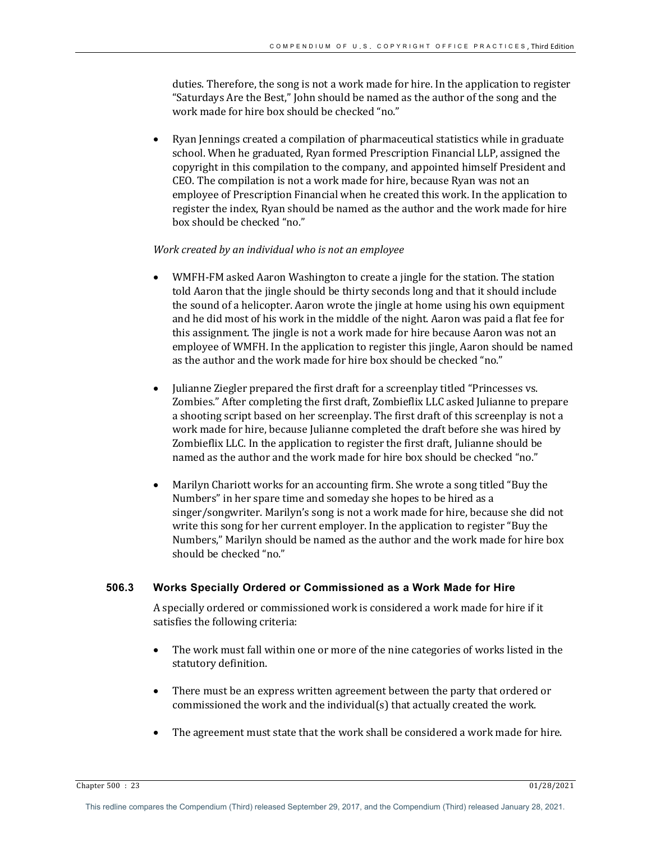duties. Therefore, the song is not a work made for hire. In the application to register "Saturdays Are the Best," John should be named as the author of the song and the work made for hire box should be checked "no."

Ryan Jennings created a compilation of pharmaceutical statistics while in graduate school. When he graduated, Ryan formed Prescription Financial LLP, assigned the copyright in this compilation to the company, and appointed himself President and CEO. The compilation is not a work made for hire, because Ryan was not an employee of Prescription Financial when he created this work. In the application to register the index, Ryan should be named as the author and the work made for hire box should be checked "no."

#### *Work created by an individual who is not an employee*

- WMFH-FM asked Aaron Washington to create a jingle for the station. The station told Aaron that the jingle should be thirty seconds long and that it should include the sound of a helicopter. Aaron wrote the jingle at home using his own equipment and he did most of his work in the middle of the night. Aaron was paid a flat fee for this assignment. The jingle is not a work made for hire because Aaron was not an employee of WMFH. In the application to register this jingle, Aaron should be named as the author and the work made for hire box should be checked "no."
- Julianne Ziegler prepared the first draft for a screenplay titled "Princesses vs. Zombies." After completing the first draft, Zombieflix LLC asked Julianne to prepare a shooting script based on her screenplay. The first draft of this screenplay is not a work made for hire, because Julianne completed the draft before she was hired by Zombieflix LLC. In the application to register the first draft, Julianne should be named as the author and the work made for hire box should be checked "no."
- Marilyn Chariott works for an accounting firm. She wrote a song titled "Buy the Numbers" in her spare time and someday she hopes to be hired as a singer/songwriter. Marilyn's song is not a work made for hire, because she did not write this song for her current employer. In the application to register "Buy the Numbers," Marilyn should be named as the author and the work made for hire box should be checked "no."

#### **506.3 Works Specially Ordered or Commissioned as a Work Made for Hire**

A specially ordered or commissioned work is considered a work made for hire if it satisfies the following criteria:

- The work must fall within one or more of the nine categories of works listed in the statutory definition.
- There must be an express written agreement between the party that ordered or commissioned the work and the individual(s) that actually created the work.
- The agreement must state that the work shall be considered a work made for hire.

Chapter 500 : 23 01/28/2021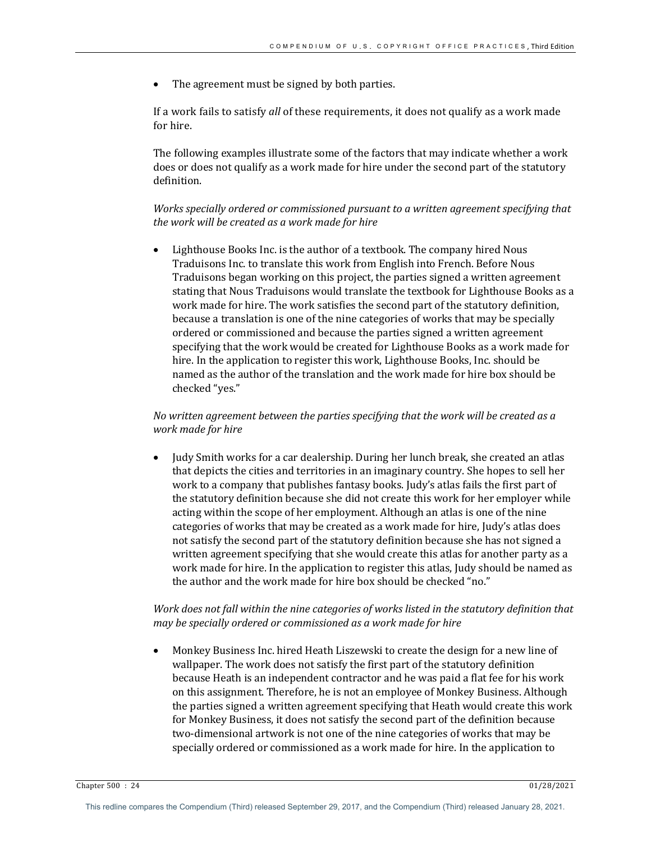The agreement must be signed by both parties.

If a work fails to satisfy *all* of these requirements, it does not qualify as a work made for hire.

The following examples illustrate some of the factors that may indicate whether a work does or does not qualify as a work made for hire under the second part of the statutory definition.

Works specially ordered or commissioned pursuant to a written agreement specifying that the work will be created as a work made for hire

Lighthouse Books Inc. is the author of a textbook. The company hired Nous Traduisons Inc. to translate this work from English into French. Before Nous Traduisons began working on this project, the parties signed a written agreement stating that Nous Traduisons would translate the textbook for Lighthouse Books as a work made for hire. The work satisfies the second part of the statutory definition, because a translation is one of the nine categories of works that may be specially ordered or commissioned and because the parties signed a written agreement specifying that the work would be created for Lighthouse Books as a work made for hire. In the application to register this work, Lighthouse Books, Inc. should be named as the author of the translation and the work made for hire box should be checked "yes."

*No* written agreement between the parties specifying that the work will be created as a *work made for hire*

Judy Smith works for a car dealership. During her lunch break, she created an atlas that depicts the cities and territories in an imaginary country. She hopes to sell her work to a company that publishes fantasy books. Judy's atlas fails the first part of the statutory definition because she did not create this work for her employer while acting within the scope of her employment. Although an atlas is one of the nine categories of works that may be created as a work made for hire, Judy's atlas does not satisfy the second part of the statutory definition because she has not signed a written agreement specifying that she would create this atlas for another party as a work made for hire. In the application to register this atlas, Judy should be named as the author and the work made for hire box should be checked "no."

# Work does not fall within the nine categories of works listed in the statutory definition that *may be specially ordered or commissioned as a work made for hire*

Monkey Business Inc. hired Heath Liszewski to create the design for a new line of wallpaper. The work does not satisfy the first part of the statutory definition because Heath is an independent contractor and he was paid a flat fee for his work on this assignment. Therefore, he is not an employee of Monkey Business. Although the parties signed a written agreement specifying that Heath would create this work for Monkey Business, it does not satisfy the second part of the definition because two-dimensional artwork is not one of the nine categories of works that may be specially ordered or commissioned as a work made for hire. In the application to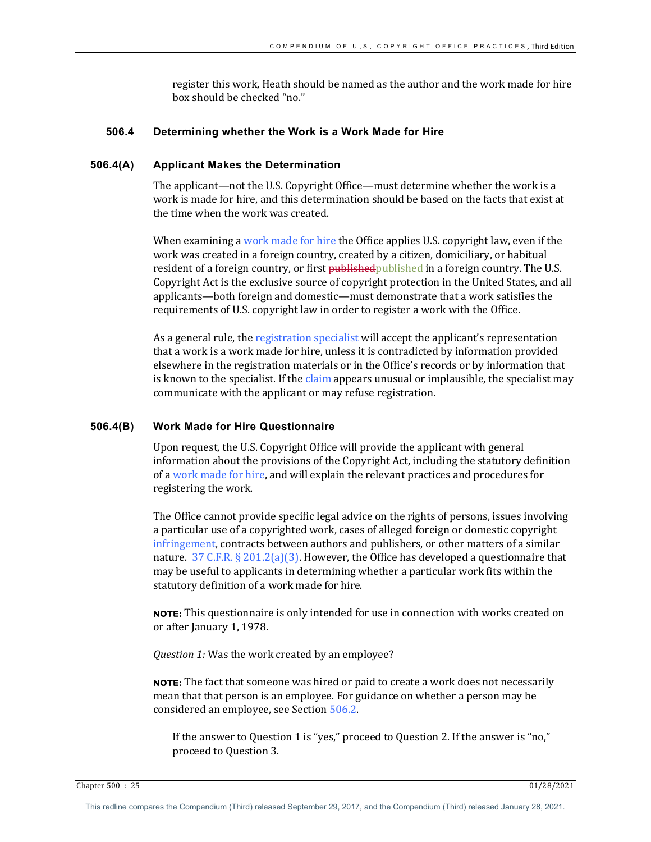register this work, Heath should be named as the author and the work made for hire box should be checked "no."

#### **506.4 Determining whether the Work is a Work Made for Hire**

#### **506.4(A) Applicant Makes the Determination**

The applicant—not the U.S. Copyright Office—must determine whether the work is a work is made for hire, and this determination should be based on the facts that exist at the time when the work was created.

When examining a work made for hire the Office applies U.S. copyright law, even if the work was created in a foreign country, created by a citizen, domiciliary, or habitual resident of a foreign country, or first published published in a foreign country. The U.S. Copyright Act is the exclusive source of copyright protection in the United States, and all applicants—both foreign and domestic—must demonstrate that a work satisfies the requirements of U.S. copyright law in order to register a work with the Office.

As a general rule, the registration specialist will accept the applicant's representation that a work is a work made for hire, unless it is contradicted by information provided elsewhere in the registration materials or in the Office's records or by information that is known to the specialist. If the claim appears unusual or implausible, the specialist may communicate with the applicant or may refuse registration.

#### **506.4(B) Work Made for Hire Questionnaire**

Upon request, the U.S. Copyright Office will provide the applicant with general information about the provisions of the Copyright Act, including the statutory definition of a work made for hire, and will explain the relevant practices and procedures for registering the work.

The Office cannot provide specific legal advice on the rights of persons, issues involving a particular use of a copyrighted work, cases of alleged foreign or domestic copyright infringement, contracts between authors and publishers, or other matters of a similar nature.  $-37 \text{ C.F.R. } \frac{5201.2(a)}{3}$ . However, the Office has developed a questionnaire that may be useful to applicants in determining whether a particular work fits within the statutory definition of a work made for hire.

**NOTE:** This questionnaire is only intended for use in connection with works created on or after January 1, 1978.

*Question 1:* Was the work created by an employee?

**NOTE:** The fact that someone was hired or paid to create a work does not necessarily mean that that person is an employee. For guidance on whether a person may be considered an employee, see Section 506.2.

If the answer to Question 1 is "yes," proceed to Question 2. If the answer is "no," proceed to Question 3.

Chapter 500 : 25 01/28/2021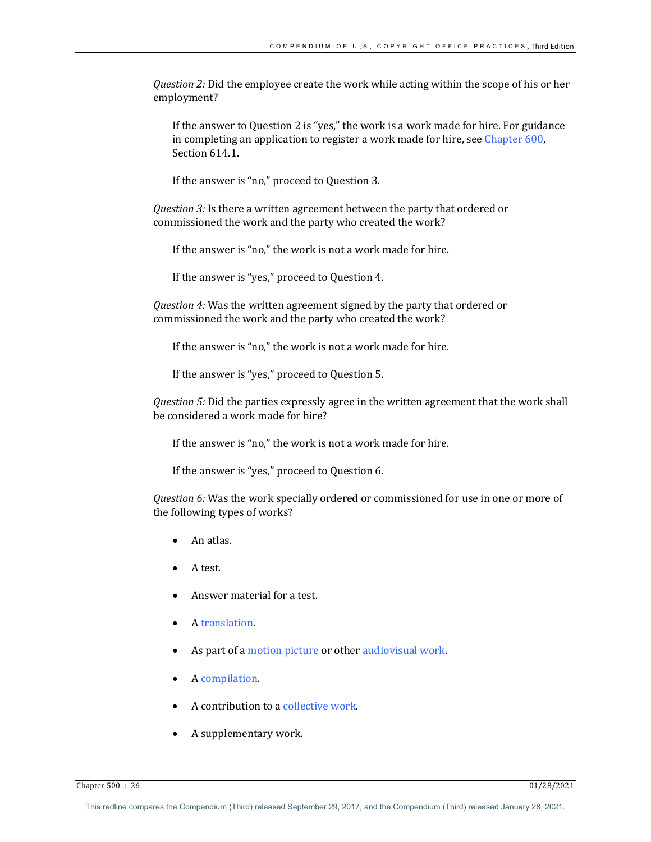*Question 2:* Did the employee create the work while acting within the scope of his or her employment? 

If the answer to Question 2 is "yes," the work is a work made for hire. For guidance in completing an application to register a work made for hire, see Chapter 600, Section 614.1.

If the answer is "no," proceed to Question 3.

*Question* 3: Is there a written agreement between the party that ordered or commissioned the work and the party who created the work?

If the answer is "no," the work is not a work made for hire.

If the answer is "yes," proceed to Question 4.

*Question* 4: Was the written agreement signed by the party that ordered or commissioned the work and the party who created the work?

If the answer is "no," the work is not a work made for hire.

If the answer is "yes," proceed to Question 5.

*Question 5:* Did the parties expressly agree in the written agreement that the work shall be considered a work made for hire?

If the answer is "no," the work is not a work made for hire.

If the answer is "yes," proceed to Question 6.

*Question 6:* Was the work specially ordered or commissioned for use in one or more of the following types of works?

- An atlas.
- A test.
- Answer material for a test.
- A translation.
- As part of a motion picture or other audiovisual work.
- A compilation.
- $\bullet$  A contribution to a collective work.
- A supplementary work.

Chapter 500 : 26 01/28/2021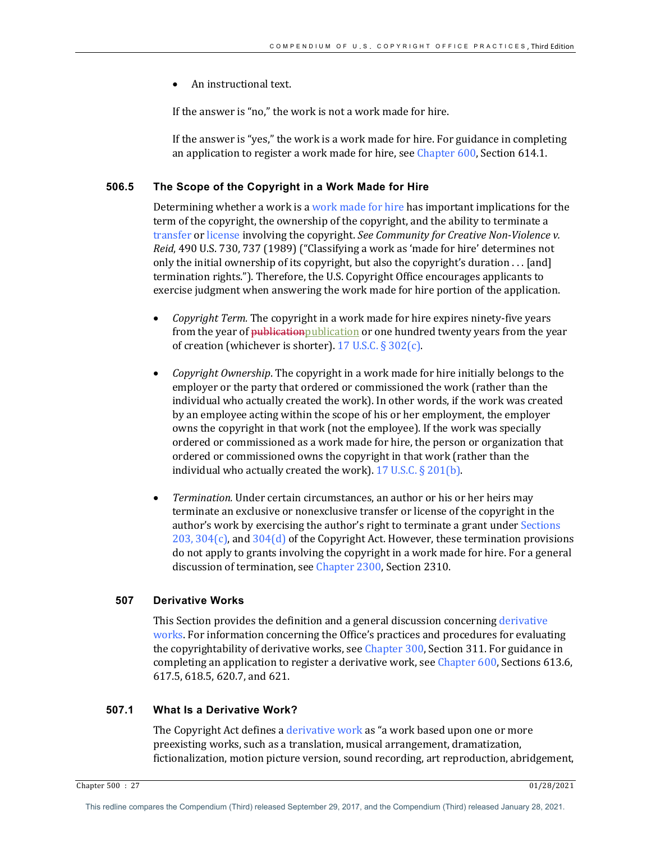An instructional text.

If the answer is "no," the work is not a work made for hire.

If the answer is "yes," the work is a work made for hire. For guidance in completing an application to register a work made for hire, see Chapter  $600$ , Section 614.1.

# **506.5 The Scope of the Copyright in a Work Made for Hire**

Determining whether a work is a work made for hire has important implications for the term of the copyright, the ownership of the copyright, and the ability to terminate a transfer or license involving the copyright. See Community for Creative Non-Violence v. *Reid*, 490 U.S. 730, 737 (1989) ("Classifying a work as 'made for hire' determines not only the initial ownership of its copyright, but also the copyright's duration  $\dots$  [and] termination rights."). Therefore, the U.S. Copyright Office encourages applicants to exercise judgment when answering the work made for hire portion of the application.

- *Copyright Term.* The copyright in a work made for hire expires ninety-five years from the year of publication publication or one hundred twenty years from the year of creation (whichever is shorter).  $17$  U.S.C. § 302(c).
- *Copyright Ownership*. The copyright in a work made for hire initially belongs to the employer or the party that ordered or commissioned the work (rather than the individual who actually created the work). In other words, if the work was created by an employee acting within the scope of his or her employment, the employer owns the copyright in that work (not the employee). If the work was specially ordered or commissioned as a work made for hire, the person or organization that ordered or commissioned owns the copyright in that work (rather than the individual who actually created the work).  $17$  U.S.C. § 201(b).
- *Termination.* Under certain circumstances, an author or his or her heirs may terminate an exclusive or nonexclusive transfer or license of the copyright in the author's work by exercising the author's right to terminate a grant under Sections 203, 304 $(c)$ , and 304 $(d)$  of the Copyright Act. However, these termination provisions do not apply to grants involving the copyright in a work made for hire. For a general discussion of termination, see Chapter 2300, Section 2310.

# **507 Derivative Works**

This Section provides the definition and a general discussion concerning derivative works. For information concerning the Office's practices and procedures for evaluating the copyrightability of derivative works, see Chapter 300, Section 311. For guidance in completing an application to register a derivative work, see Chapter 600, Sections 613.6, 617.5, 618.5, 620.7, and 621.

# **507.1 What Is a Derivative Work?**

The Copyright Act defines a derivative work as "a work based upon one or more preexisting works, such as a translation, musical arrangement, dramatization, fictionalization, motion picture version, sound recording, art reproduction, abridgement,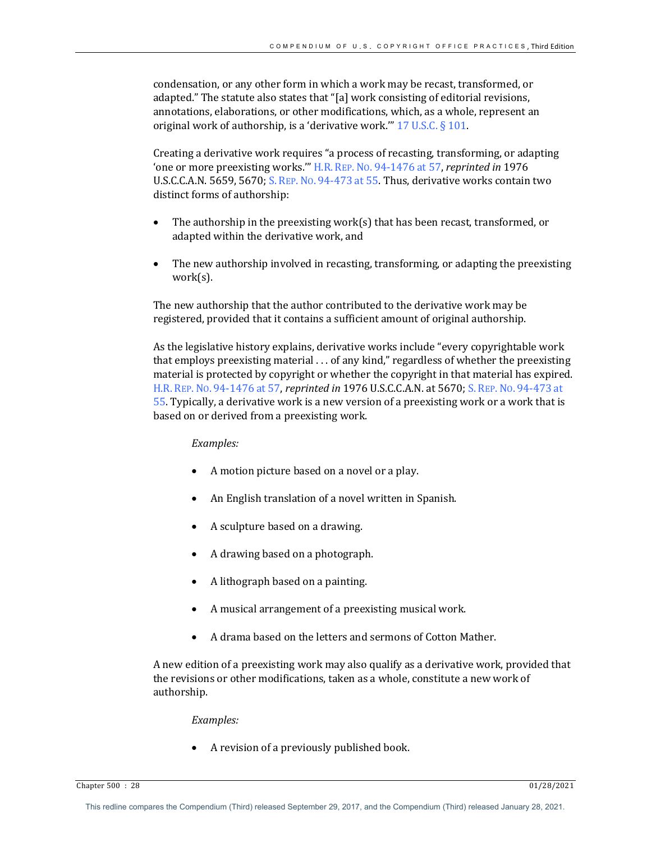condensation, or any other form in which a work may be recast, transformed, or adapted." The statute also states that "[a] work consisting of editorial revisions, annotations, elaborations, or other modifications, which, as a whole, represent an original work of authorship, is a 'derivative work."  $17$  U.S.C. § 101.

Creating a derivative work requires "a process of recasting, transforming, or adapting **'one or more preexisting works.'"** H.R. REP. No. 94-1476 at 57, *reprinted in* 1976 U.S.C.C.A.N. 5659, 5670; S. REP. No. 94-473 at 55. Thus, derivative works contain two distinct forms of authorship:

- The authorship in the preexisting work(s) that has been recast, transformed, or adapted within the derivative work, and
- The new authorship involved in recasting, transforming, or adapting the preexisting work(s).

The new authorship that the author contributed to the derivative work may be registered, provided that it contains a sufficient amount of original authorship.

As the legislative history explains, derivative works include "every copyrightable work that employs preexisting material ... of any kind," regardless of whether the preexisting material is protected by copyright or whether the copyright in that material has expired. H.R. REP. No. 94-1476 at 57, *reprinted in* 1976 U.S.C.C.A.N. at 5670; S. REP. No. 94-473 at 55. Typically, a derivative work is a new version of a preexisting work or a work that is based on or derived from a preexisting work.

## *Examples:*

- A motion picture based on a novel or a play.
- An English translation of a novel written in Spanish.
- A sculpture based on a drawing.
- A drawing based on a photograph.
- A lithograph based on a painting.
- A musical arrangement of a preexisting musical work.
- A drama based on the letters and sermons of Cotton Mather.

A new edition of a preexisting work may also qualify as a derivative work, provided that the revisions or other modifications, taken as a whole, constitute a new work of authorship.

## *Examples:*

A revision of a previously published book.

Chapter 500 : 28 01/28/2021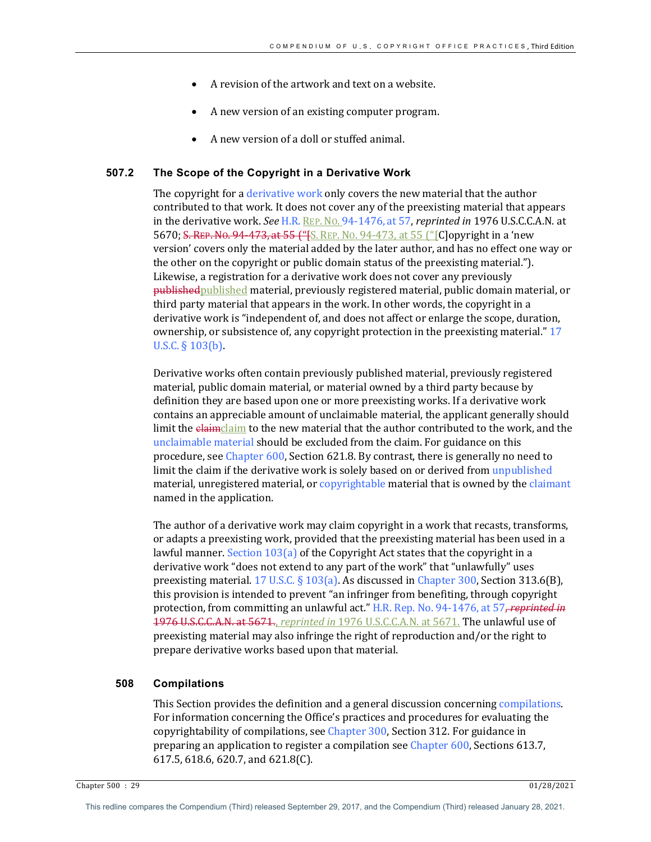- A revision of the artwork and text on a website.
- A new version of an existing computer program.
- A new version of a doll or stuffed animal.

#### **507.2 The Scope of the Copyright in a Derivative Work**

The copyright for a derivative work only covers the new material that the author contributed to that work. It does not cover any of the preexisting material that appears in the derivative work. See H.R. REP. No. 94-1476, at 57, *reprinted in* 1976 U.S.C.C.A.N. at 5670; S. REP. No. 94-473, at 55 ("[S. REP. No. 94-473, at 55 ("[C]opyright in a 'new version' covers only the material added by the later author, and has no effect one way or the other on the copyright or public domain status of the preexisting material."). Likewise, a registration for a derivative work does not cover any previously published published material, previously registered material, public domain material, or third party material that appears in the work. In other words, the copyright in a derivative work is "independent of, and does not affect or enlarge the scope, duration, ownership, or subsistence of, any copyright protection in the preexisting material." 17 U.S.C.  $\S$  103(b).

Derivative works often contain previously published material, previously registered material, public domain material, or material owned by a third party because by definition they are based upon one or more preexisting works. If a derivative work contains an appreciable amount of unclaimable material, the applicant generally should limit the elaimclaim to the new material that the author contributed to the work, and the unclaimable material should be excluded from the claim. For guidance on this procedure, see Chapter 600, Section 621.8. By contrast, there is generally no need to limit the claim if the derivative work is solely based on or derived from unpublished material, unregistered material, or copyrightable material that is owned by the claimant named in the application.

The author of a derivative work may claim copyright in a work that recasts, transforms, or adapts a preexisting work, provided that the preexisting material has been used in a lawful manner. Section  $103(a)$  of the Copyright Act states that the copyright in a derivative work "does not extend to any part of the work" that "unlawfully" uses preexisting material.  $17 \text{ U.S.C.}$  §  $103(a)$ . As discussed in Chapter 300, Section 313.6(B), this provision is intended to prevent "an infringer from benefiting, through copyright protection, from committing an unlawful act." H.R. Rep. No. 94-1476, at 57, reprinted in 1976 U.S.C.C.A.N. at 5671., *reprinted in* 1976 U.S.C.C.A.N. at 5671. The unlawful use of preexisting material may also infringe the right of reproduction and/or the right to prepare derivative works based upon that material.

# **508 Compilations**

This Section provides the definition and a general discussion concerning compilations. For information concerning the Office's practices and procedures for evaluating the copyrightability of compilations, see Chapter 300, Section 312. For guidance in preparing an application to register a compilation see Chapter 600, Sections 613.7, 617.5, 618.6, 620.7, and 621.8(C).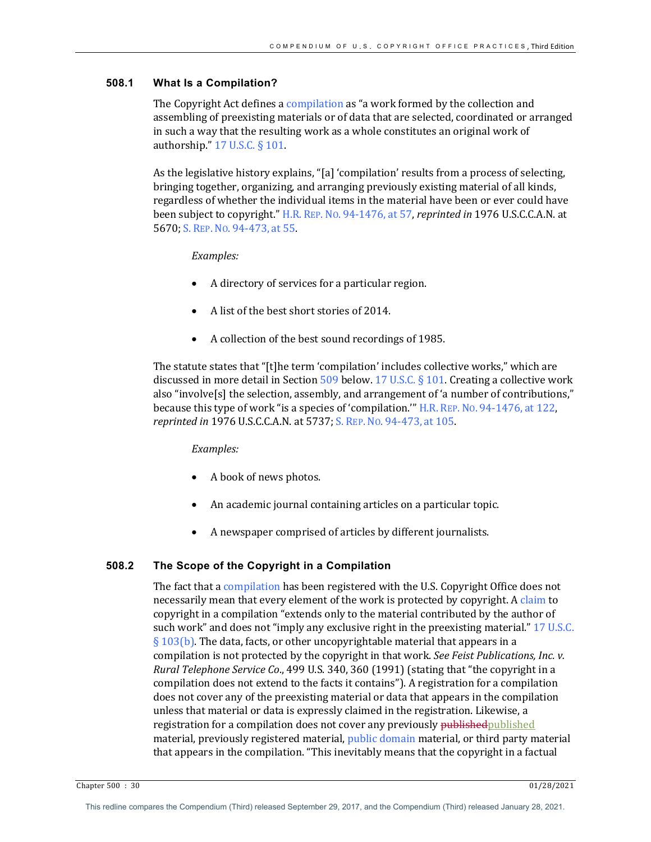# **508.1 What Is a Compilation?**

The Copyright Act defines a compilation as "a work formed by the collection and assembling of preexisting materials or of data that are selected, coordinated or arranged in such a way that the resulting work as a whole constitutes an original work of authorship."  $17$  U.S.C. § 101.

As the legislative history explains, "[a] 'compilation' results from a process of selecting, bringing together, organizing, and arranging previously existing material of all kinds, regardless of whether the individual items in the material have been or ever could have been subject to copyright." H.R. REP. No. 94-1476, at 57, *reprinted in* 1976 U.S.C.C.A.N. at 5670; S. REP. No. 94-473, at 55.

# *Examples:*

- A directory of services for a particular region.
- A list of the best short stories of 2014.
- A collection of the best sound recordings of 1985.

The statute states that "[t]he term 'compilation' includes collective works," which are discussed in more detail in Section 509 below. 17 U.S.C. § 101. Creating a collective work also "involve $[s]$  the selection, assembly, and arrangement of 'a number of contributions," because this type of work "is a species of 'compilation." H.R. REP. No. 94-1476, at 122, *reprinted in* 1976 U.S.C.C.A.N. at 5737; S. REP. No. 94-473, at 105.

## *Examples:*

- A book of news photos.
- An academic journal containing articles on a particular topic.
- A newspaper comprised of articles by different journalists.

## **508.2 The Scope of the Copyright in a Compilation**

The fact that a compilation has been registered with the U.S. Copyright Office does not necessarily mean that every element of the work is protected by copyright. A claim to copyright in a compilation "extends only to the material contributed by the author of such work" and does not "imply any exclusive right in the preexisting material." 17 U.S.C.  $\S 103(b)$ . The data, facts, or other uncopyrightable material that appears in a compilation is not protected by the copyright in that work. *See Feist Publications, Inc. v. Rural Telephone Service Co.*, 499 U.S. 340, 360 (1991) (stating that "the copyright in a compilation does not extend to the facts it contains"). A registration for a compilation does not cover any of the preexisting material or data that appears in the compilation unless that material or data is expressly claimed in the registration. Likewise, a registration for a compilation does not cover any previously **published** published material, previously registered material, public domain material, or third party material that appears in the compilation. "This inevitably means that the copyright in a factual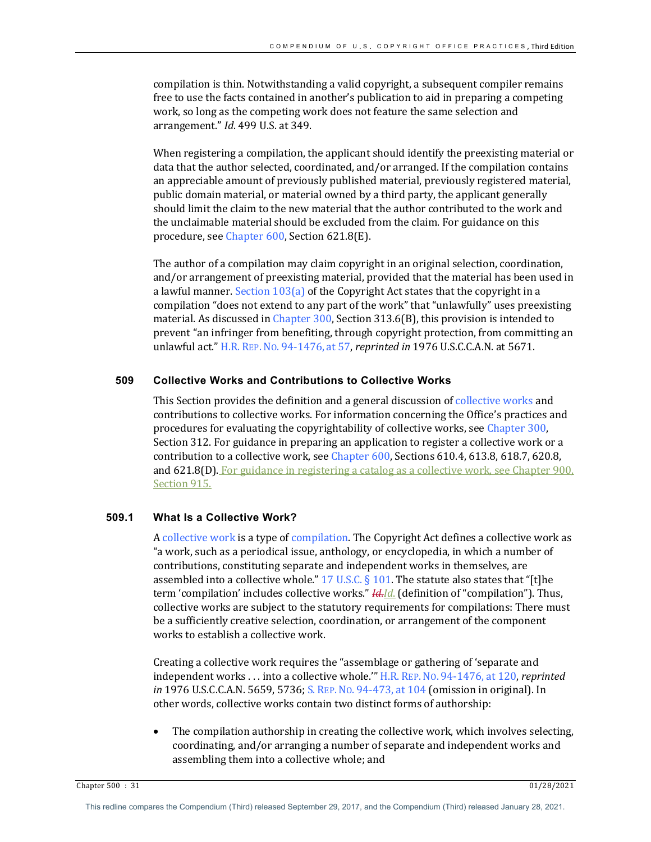compilation is thin. Notwithstanding a valid copyright, a subsequent compiler remains free to use the facts contained in another's publication to aid in preparing a competing work, so long as the competing work does not feature the same selection and arrangement." *Id*. 499 U.S. at 349.

When registering a compilation, the applicant should identify the preexisting material or data that the author selected, coordinated, and/or arranged. If the compilation contains an appreciable amount of previously published material, previously registered material, public domain material, or material owned by a third party, the applicant generally should limit the claim to the new material that the author contributed to the work and the unclaimable material should be excluded from the claim. For guidance on this procedure, see Chapter 600, Section 621.8(E).

The author of a compilation may claim copyright in an original selection, coordination, and/or arrangement of preexisting material, provided that the material has been used in a lawful manner. Section  $103(a)$  of the Copyright Act states that the copyright in a compilation "does not extend to any part of the work" that "unlawfully" uses preexisting material. As discussed in Chapter  $300$ , Section  $313.6(B)$ , this provision is intended to prevent "an infringer from benefiting, through copyright protection, from committing an unlawful act." H.R. REP. No. 94-1476, at 57, *reprinted in* 1976 U.S.C.C.A.N. at 5671.

# **509 Collective Works and Contributions to Collective Works**

This Section provides the definition and a general discussion of collective works and contributions to collective works. For information concerning the Office's practices and procedures for evaluating the copyrightability of collective works, see Chapter 300, Section 312. For guidance in preparing an application to register a collective work or a contribution to a collective work, see Chapter  $600$ , Sections  $610.4$ ,  $613.8$ ,  $618.7$ ,  $620.8$ , and  $621.8(D)$ . For guidance in registering a catalog as a collective work, see Chapter  $900$ , Section 915.

#### **509.1 What Is a Collective Work?**

A collective work is a type of compilation. The Copyright Act defines a collective work as " a work, such as a periodical issue, anthology, or encyclopedia, in which a number of contributions, constituting separate and independent works in themselves, are assembled into a collective whole."  $17$  U.S.C. § 101. The statute also states that "[t]he term 'compilation' includes collective works." *Id. [d.* (definition of "compilation"). Thus, collective works are subject to the statutory requirements for compilations: There must be a sufficiently creative selection, coordination, or arrangement of the component works to establish a collective work.

Creating a collective work requires the "assemblage or gathering of 'separate and independent works . . . into a collective whole." H.R. REP. No. 94-1476, at 120, *reprinted in* 1976 U.S.C.C.A.N. 5659, 5736; S. REP. No. 94-473, at 104 (omission in original). In other words, collective works contain two distinct forms of authorship:

The compilation authorship in creating the collective work, which involves selecting, coordinating, and/or arranging a number of separate and independent works and assembling them into a collective whole; and

Chapter 500 : 31 01/28/2021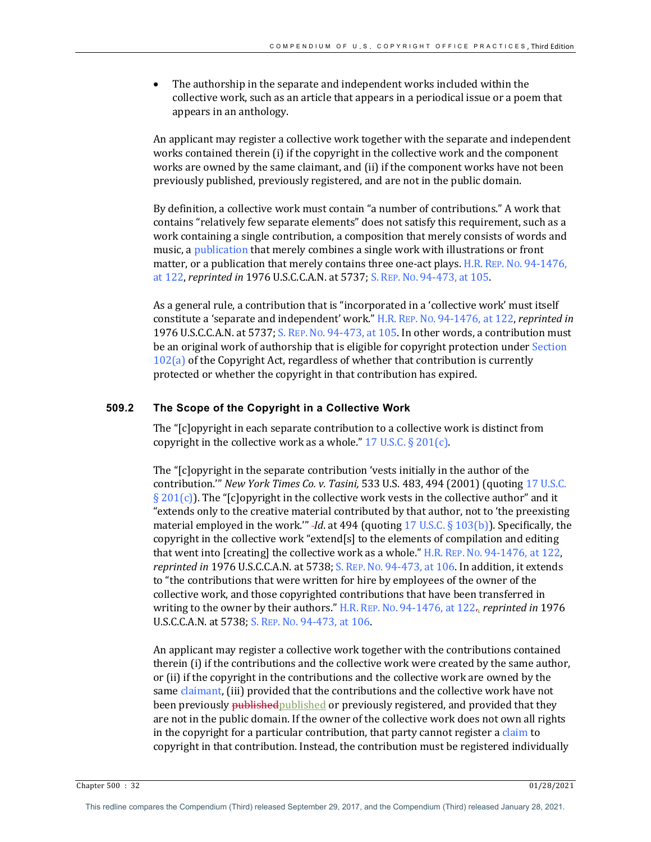The authorship in the separate and independent works included within the collective work, such as an article that appears in a periodical issue or a poem that appears in an anthology.

An applicant may register a collective work together with the separate and independent works contained therein  $(i)$  if the copyright in the collective work and the component works are owned by the same claimant, and (ii) if the component works have not been previously published, previously registered, and are not in the public domain.

By definition, a collective work must contain "a number of contributions." A work that contains "relatively few separate elements" does not satisfy this requirement, such as a work containing a single contribution, a composition that merely consists of words and music, a publication that merely combines a single work with illustrations or front matter, or a publication that merely contains three one-act plays. H.R. REP. No. 94-1476, at 122, *reprinted in* 1976 U.S.C.C.A.N. at 5737; S. REP. No. 94-473, at 105.

As a general rule, a contribution that is "incorporated in a 'collective work' must itself constitute a 'separate and independent' work." H.R. REP. No. 94-1476, at 122, *reprinted in* 1976 U.S.C.C.A.N. at 5737; S. REP. No. 94-473, at 105. In other words, a contribution must be an original work of authorship that is eligible for copyright protection under Section  $102(a)$  of the Copyright Act, regardless of whether that contribution is currently protected or whether the copyright in that contribution has expired.

## **509.2 The Scope of the Copyright in a Collective Work**

The "[c]opyright in each separate contribution to a collective work is distinct from copyright in the collective work as a whole."  $17 \text{ U.S.C.}$  §  $201(c)$ .

The "[c]opyright in the separate contribution 'vests initially in the author of the contribution." *New York Times Co. v. Tasini*, 533 U.S. 483, 494 (2001) (quoting 17 U.S.C.  $\S 201(c)$ . The "[c]opyright in the collective work vests in the collective author" and it "extends only to the creative material contributed by that author, not to 'the preexisting material employed in the work."" *-Id*. at 494 (quoting 17 U.S.C. § 103(b)). Specifically, the copyright in the collective work "extend[s] to the elements of compilation and editing that went into [creating] the collective work as a whole."  $H.R.$  REP. No. 94-1476, at 122, *reprinted in* 1976 U.S.C.C.A.N. at 5738; S. REP. No. 94-473, at 106. In addition, it extends to "the contributions that were written for hire by employees of the owner of the collective work, and those copyrighted contributions that have been transferred in writing to the owner by their authors." H.R. REP. No. 94-1476, at 122-, *reprinted in* 1976 U.S.C.C.A.N. at 5738; S. REP. No. 94-473, at 106.

An applicant may register a collective work together with the contributions contained therein (i) if the contributions and the collective work were created by the same author, or (ii) if the copyright in the contributions and the collective work are owned by the same claimant, (iii) provided that the contributions and the collective work have not been previously <del>published published</del> or previously registered, and provided that they are not in the public domain. If the owner of the collective work does not own all rights in the copyright for a particular contribution, that party cannot register a claim to copyright in that contribution. Instead, the contribution must be registered individually

Chapter 500 : 32 01/28/2021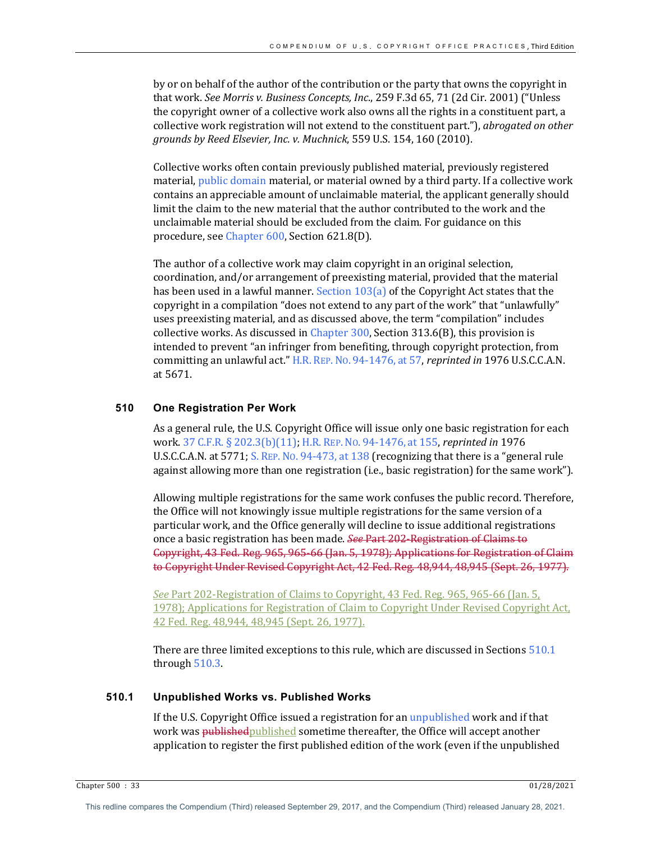by or on behalf of the author of the contribution or the party that owns the copyright in that work. See Morris v. Business Concepts, Inc., 259 F.3d 65, 71 (2d Cir. 2001) ("Unless the copyright owner of a collective work also owns all the rights in a constituent part, a collective work registration will not extend to the constituent part."), *abrogated on other grounds by Reed Elsevier, Inc. v. Muchnick*, 559 U.S. 154, 160 (2010).

Collective works often contain previously published material, previously registered material, public domain material, or material owned by a third party. If a collective work contains an appreciable amount of unclaimable material, the applicant generally should limit the claim to the new material that the author contributed to the work and the unclaimable material should be excluded from the claim. For guidance on this procedure, see Chapter 600, Section 621.8(D).

The author of a collective work may claim copyright in an original selection, coordination, and/or arrangement of preexisting material, provided that the material has been used in a lawful manner. Section  $103(a)$  of the Copyright Act states that the copyright in a compilation "does not extend to any part of the work" that "unlawfully" uses preexisting material, and as discussed above, the term "compilation" includes collective works. As discussed in Chapter  $300$ , Section  $313.6(B)$ , this provision is intended to prevent "an infringer from benefiting, through copyright protection, from committing an unlawful act." H.R. REP. No. 94-1476, at 57, *reprinted in* 1976 U.S.C.C.A.N. at 5671. 

#### **510 One Registration Per Work**

As a general rule, the U.S. Copyright Office will issue only one basic registration for each work. 37 C.F.R. § 202.3(b)(11); H.R. REP. No. 94-1476, at 155, *reprinted in* 1976 U.S.C.C.A.N. at 5771; S. REP. No. 94-473, at 138 (recognizing that there is a "general rule against allowing more than one registration  $(i.e., basic registration)$  for the same work").

Allowing multiple registrations for the same work confuses the public record. Therefore, the Office will not knowingly issue multiple registrations for the same version of a particular work, and the Office generally will decline to issue additional registrations once a basic registration has been made. *See Part 202-Registration of Claims to* Copyright, 43 Fed. Reg. 965, 965-66 (Jan. 5, 1978); Applications for Registration of Claim to Copyright Under Revised Copyright Act, 42 Fed. Reg. 48,944, 48,945 (Sept. 26, 1977).

*See* Part 202-Registration of Claims to Copyright, 43 Fed. Reg. 965, 965-66 (Jan. 5, 1978); Applications for Registration of Claim to Copyright Under Revised Copyright Act, 42 Fed. Reg. 48,944, 48,945 (Sept. 26, 1977).

There are three limited exceptions to this rule, which are discussed in Sections  $510.1$ through  $510.3$ .

## **510.1 Unpublished Works vs. Published Works**

If the U.S. Copyright Office issued a registration for an unpublished work and if that work was published published sometime thereafter, the Office will accept another application to register the first published edition of the work (even if the unpublished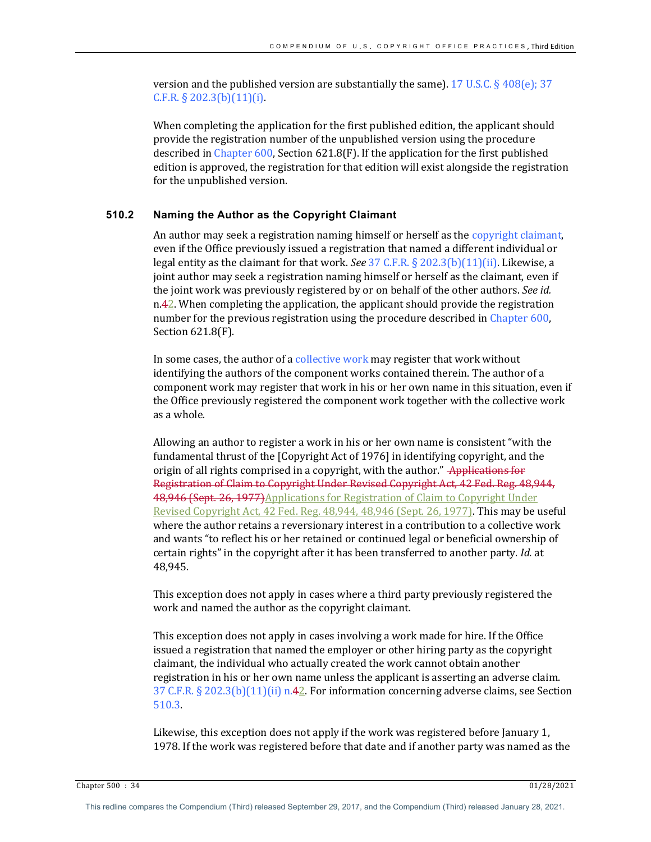version and the published version are substantially the same). 17 U.S.C.  $\S 408(e)$ ; 37  $C.F.R. § 202.3(b)(11)(i).$ 

When completing the application for the first published edition, the applicant should provide the registration number of the unpublished version using the procedure described in Chapter  $600$ , Section  $621.8$  (F). If the application for the first published edition is approved, the registration for that edition will exist alongside the registration for the unpublished version.

## **510.2 Naming the Author as the Copyright Claimant**

An author may seek a registration naming himself or herself as the copyright claimant, even if the Office previously issued a registration that named a different individual or legal entity as the claimant for that work. See 37 C.F.R. § 202.3(b)(11)(ii). Likewise, a joint author may seek a registration naming himself or herself as the claimant, even if the joint work was previously registered by or on behalf of the other authors. See id.  $n.42$ . When completing the application, the applicant should provide the registration number for the previous registration using the procedure described in Chapter  $600$ , Section 621.8(F).

In some cases, the author of a collective work may register that work without identifying the authors of the component works contained therein. The author of a component work may register that work in his or her own name in this situation, even if the Office previously registered the component work together with the collective work as a whole.

Allowing an author to register a work in his or her own name is consistent "with the fundamental thrust of the [Copyright Act of 1976] in identifying copyright, and the origin of all rights comprised in a copyright, with the author." Applications for Registration of Claim to Copyright Under Revised Copyright Act, 42 Fed. Reg. 48,944, 48,946 (Sept. 26, 1977)Applications for Registration of Claim to Copyright Under Revised Copyright Act, 42 Fed. Reg. 48,944, 48,946 (Sept. 26, 1977). This may be useful where the author retains a reversionary interest in a contribution to a collective work and wants "to reflect his or her retained or continued legal or beneficial ownership of certain rights" in the copyright after it has been transferred to another party. *Id.* at 48,945.

This exception does not apply in cases where a third party previously registered the work and named the author as the copyright claimant.

This exception does not apply in cases involving a work made for hire. If the Office issued a registration that named the employer or other hiring party as the copyright claimant, the individual who actually created the work cannot obtain another registration in his or her own name unless the applicant is asserting an adverse claim. 37 C.F.R. § 202.3(b)(11)(ii)  $n.42$ . For information concerning adverse claims, see Section 510.3.

Likewise, this exception does not apply if the work was registered before January 1, 1978. If the work was registered before that date and if another party was named as the

Chapter 500 : 34 01/28/2021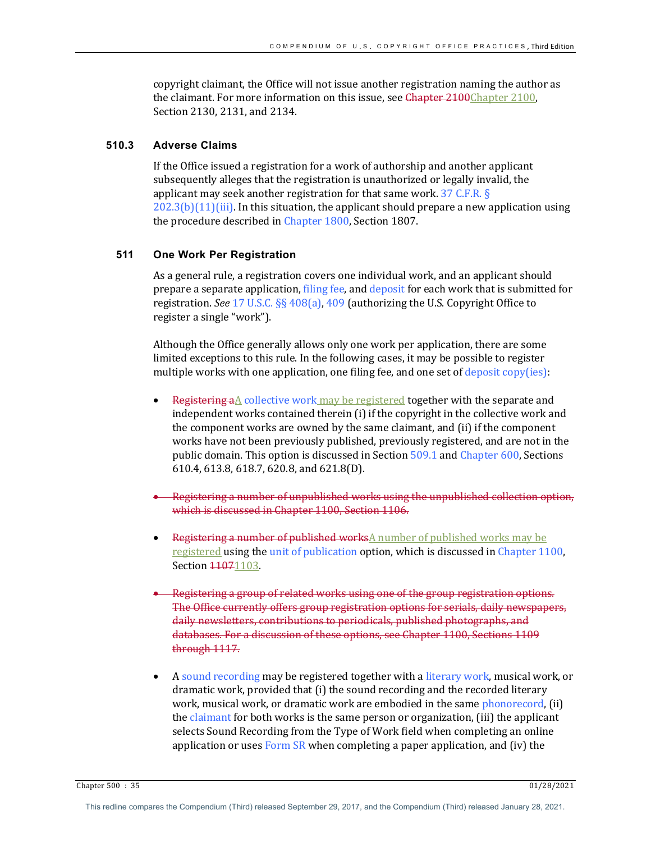copyright claimant, the Office will not issue another registration naming the author as the claimant. For more information on this issue, see  $\frac{C}{C}$  Chapter 2100,  $\frac{C}{C}$ Section 2130, 2131, and 2134.

## **510.3 Adverse Claims**

If the Office issued a registration for a work of authorship and another applicant subsequently alleges that the registration is unauthorized or legally invalid, the applicant may seek another registration for that same work.  $37$  C.F.R. §  $202.3(b)(11)(iii)$ . In this situation, the applicant should prepare a new application using the procedure described in Chapter 1800, Section 1807.

# **511 One Work Per Registration**

As a general rule, a registration covers one individual work, and an applicant should prepare a separate application, filing fee, and deposit for each work that is submitted for registration. See 17 U.S.C. §§ 408(a), 409 (authorizing the U.S. Copyright Office to register a single "work").

Although the Office generally allows only one work per application, there are some limited exceptions to this rule. In the following cases, it may be possible to register multiple works with one application, one filing fee, and one set of deposit  $\text{copy(ies)}$ :

- Registering  $a\Delta$  collective work may be registered together with the separate and independent works contained therein (i) if the copyright in the collective work and the component works are owned by the same claimant, and (ii) if the component works have not been previously published, previously registered, and are not in the public domain. This option is discussed in Section 509.1 and Chapter 600, Sections 610.4, 613.8, 618.7, 620.8, and 621.8(D).
- Registering a number of unpublished works using the unpublished collection option, which is discussed in Chapter 1100, Section 1106.
- Registering a number of published works $\Delta$  number of published works may be registered using the unit of publication option, which is discussed in Chapter 1100, Section 41071103.
- Registering a group of related works using one of the group registration options. The Office currently offers group registration options for serials, daily newspapers, daily newsletters, contributions to periodicals, published photographs, and databases. For a discussion of these options, see Chapter 1100, Sections 1109 through 1117.
- A sound recording may be registered together with a literary work, musical work, or dramatic work, provided that (i) the sound recording and the recorded literary work, musical work, or dramatic work are embodied in the same phonorecord, (ii) the claimant for both works is the same person or organization, (iii) the applicant selects Sound Recording from the Type of Work field when completing an online application or uses Form  $SR$  when completing a paper application, and (iv) the

Chapter 500 : 35 01/28/2021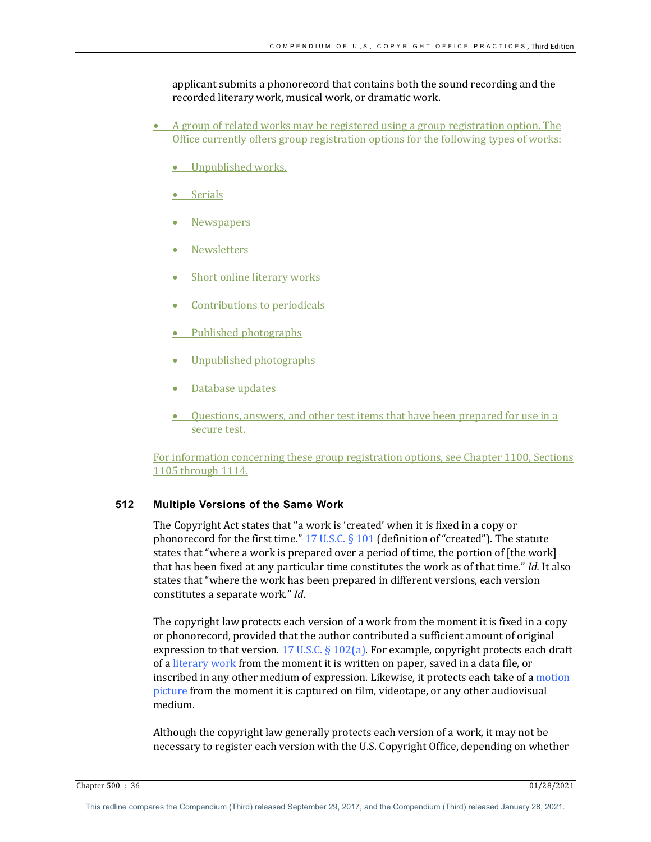applicant submits a phonorecord that contains both the sound recording and the recorded literary work, musical work, or dramatic work.

- A group of related works may be registered using a group registration option. The Office currently offers group registration options for the following types of works:
	- Unpublished works.
	- Serials
	- **•** Newspapers
	- Newsletters
	- $\bullet$  Short online literary works
	- $\bullet$  Contributions to periodicals
	- Published photographs
	- Unpublished photographs
	- Database updates
	- Questions, answers, and other test items that have been prepared for use in a secure test.

For information concerning these group registration options, see Chapter 1100, Sections 1105 through 1114.

# **512 Multiple Versions of the Same Work**

The Copyright Act states that "a work is 'created' when it is fixed in a copy or phonorecord for the first time."  $17$  U.S.C. § 101 (definition of "created"). The statute states that "where a work is prepared over a period of time, the portion of [the work] that has been fixed at any particular time constitutes the work as of that time." *Id.* It also states that "where the work has been prepared in different versions, each version constitutes a separate work." *Id.* 

The copyright law protects each version of a work from the moment it is fixed in a copy or phonorecord, provided that the author contributed a sufficient amount of original expression to that version. 17 U.S.C. § 102(a). For example, copyright protects each draft of a literary work from the moment it is written on paper, saved in a data file, or inscribed in any other medium of expression. Likewise, it protects each take of a motion picture from the moment it is captured on film, videotape, or any other audiovisual medium. 

Although the copyright law generally protects each version of a work, it may not be necessary to register each version with the U.S. Copyright Office, depending on whether

Chapter 500 : 36 01/28/2021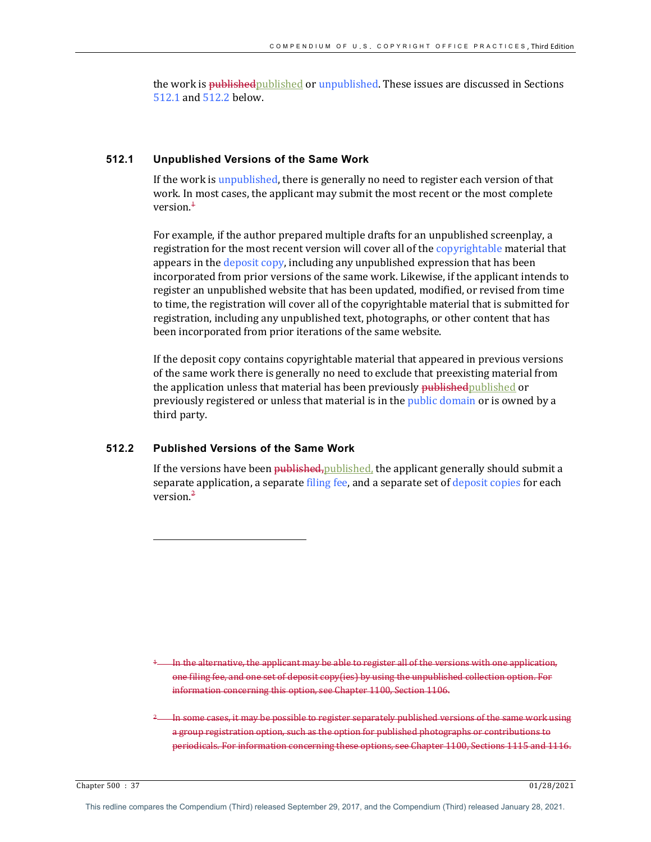the work is publishedpublished or unpublished. These issues are discussed in Sections 512.1 and 512.2 below.

# **512.1 Unpublished Versions of the Same Work**

If the work is unpublished, there is generally no need to register each version of that work. In most cases, the applicant may submit the most recent or the most complete version. $<sup>1</sup>$ </sup>

For example, if the author prepared multiple drafts for an unpublished screenplay, a registration for the most recent version will cover all of the copyrightable material that appears in the deposit copy, including any unpublished expression that has been incorporated from prior versions of the same work. Likewise, if the applicant intends to register an unpublished website that has been updated, modified, or revised from time to time, the registration will cover all of the copyrightable material that is submitted for registration, including any unpublished text, photographs, or other content that has been incorporated from prior iterations of the same website.

If the deposit copy contains copyrightable material that appeared in previous versions of the same work there is generally no need to exclude that preexisting material from the application unless that material has been previously published published or previously registered or unless that material is in the public domain or is owned by a third party.

# **512.2 Published Versions of the Same Work**

If the versions have been  $\frac{1}{p}$  published, the applicant generally should submit a separate application, a separate filing fee, and a separate set of deposit copies for each version. $<sup>2</sup>$ </sup>

In the alternative, the applicant may be able to register all of the versions with one application, one filing fee, and one set of deposit copy(ies) by using the unpublished collection option. For information concerning this option, see Chapter 1100, Section 1106.

In some cases, it may be possible to register separately published versions of the same work using a group registration option, such as the option for published photographs or contributions to periodicals. For information concerning these options, see Chapter 1100, Sections 1115 and 1116.

Chapter 500 : 37 01/28/2021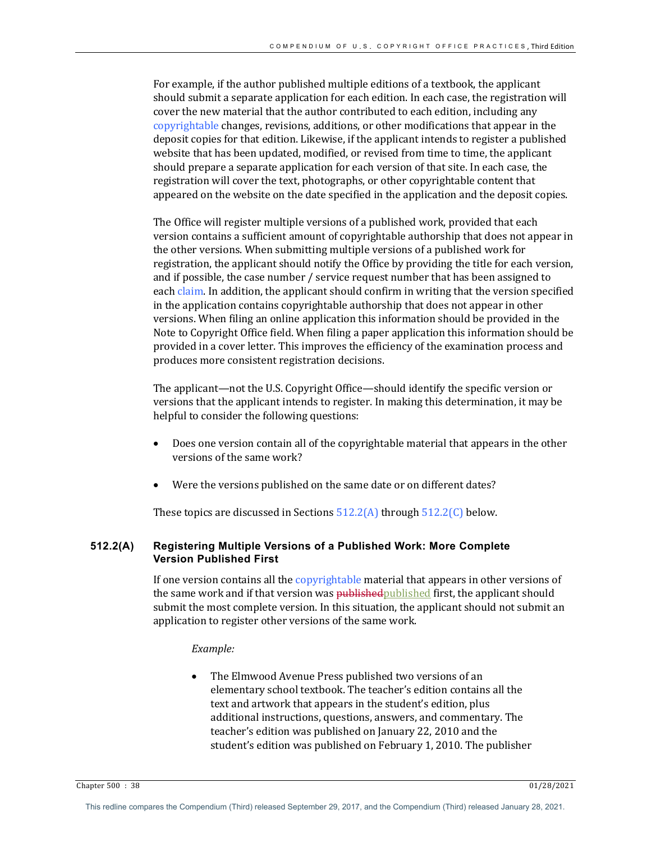For example, if the author published multiple editions of a textbook, the applicant should submit a separate application for each edition. In each case, the registration will cover the new material that the author contributed to each edition, including any copyrightable changes, revisions, additions, or other modifications that appear in the deposit copies for that edition. Likewise, if the applicant intends to register a published website that has been updated, modified, or revised from time to time, the applicant should prepare a separate application for each version of that site. In each case, the registration will cover the text, photographs, or other copyrightable content that appeared on the website on the date specified in the application and the deposit copies.

The Office will register multiple versions of a published work, provided that each version contains a sufficient amount of copyrightable authorship that does not appear in the other versions. When submitting multiple versions of a published work for registration, the applicant should notify the Office by providing the title for each version, and if possible, the case number  $/$  service request number that has been assigned to each claim. In addition, the applicant should confirm in writing that the version specified in the application contains copyrightable authorship that does not appear in other versions. When filing an online application this information should be provided in the Note to Copyright Office field. When filing a paper application this information should be provided in a cover letter. This improves the efficiency of the examination process and produces more consistent registration decisions.

The applicant—not the U.S. Copyright Office—should identify the specific version or versions that the applicant intends to register. In making this determination, it may be helpful to consider the following questions:

- Does one version contain all of the copyrightable material that appears in the other versions of the same work?
- Were the versions published on the same date or on different dates?

These topics are discussed in Sections  $512.2(A)$  through  $512.2(C)$  below.

## **512.2(A) Registering Multiple Versions of a Published Work: More Complete Version Published First**

If one version contains all the copyrightable material that appears in other versions of the same work and if that version was published published first, the applicant should submit the most complete version. In this situation, the applicant should not submit an application to register other versions of the same work.

## *Example:*

The Elmwood Avenue Press published two versions of an elementary school textbook. The teacher's edition contains all the text and artwork that appears in the student's edition, plus additional instructions, questions, answers, and commentary. The teacher's edition was published on January 22, 2010 and the student's edition was published on February 1, 2010. The publisher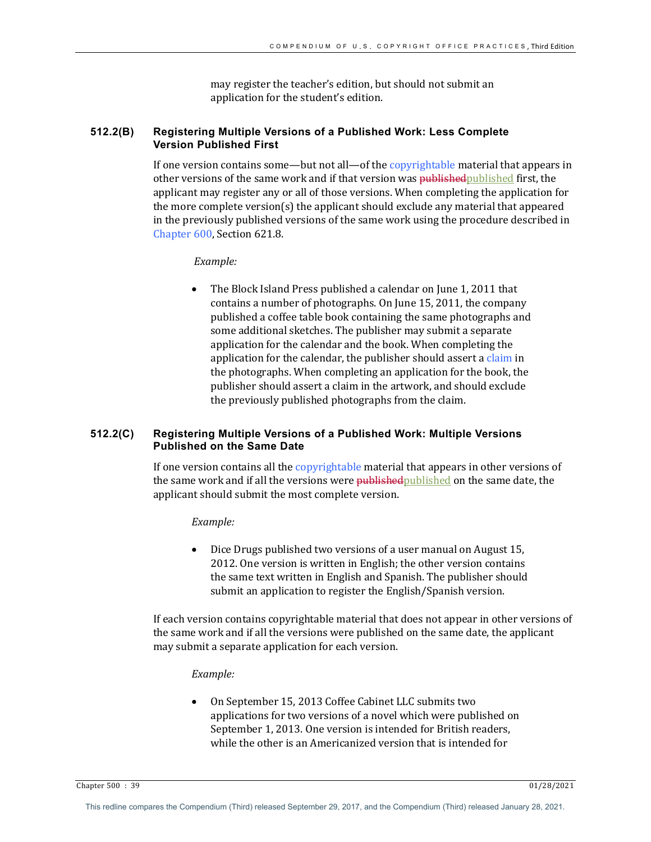may register the teacher's edition, but should not submit an application for the student's edition.

# **512.2(B) Registering Multiple Versions of a Published Work: Less Complete Version Published First**

If one version contains some—but not all—of the copyrightable material that appears in other versions of the same work and if that version was published published first, the applicant may register any or all of those versions. When completing the application for the more complete version(s) the applicant should exclude any material that appeared in the previously published versions of the same work using the procedure described in Chapter 600, Section 621.8.

## *Example:*

The Block Island Press published a calendar on June 1, 2011 that contains a number of photographs. On June 15, 2011, the company published a coffee table book containing the same photographs and some additional sketches. The publisher may submit a separate application for the calendar and the book. When completing the application for the calendar, the publisher should assert a claim in the photographs. When completing an application for the book, the publisher should assert a claim in the artwork, and should exclude the previously published photographs from the claim.

## **512.2(C) Registering Multiple Versions of a Published Work: Multiple Versions Published on the Same Date**

If one version contains all the copyrightable material that appears in other versions of the same work and if all the versions were **published** published on the same date, the applicant should submit the most complete version.

### *Example:*

Dice Drugs published two versions of a user manual on August 15, 2012. One version is written in English; the other version contains the same text written in English and Spanish. The publisher should submit an application to register the English/Spanish version.

If each version contains copyrightable material that does not appear in other versions of the same work and if all the versions were published on the same date, the applicant may submit a separate application for each version.

#### *Example:*

On September 15, 2013 Coffee Cabinet LLC submits two applications for two versions of a novel which were published on September 1, 2013. One version is intended for British readers, while the other is an Americanized version that is intended for

Chapter 500 : 39 01/28/2021